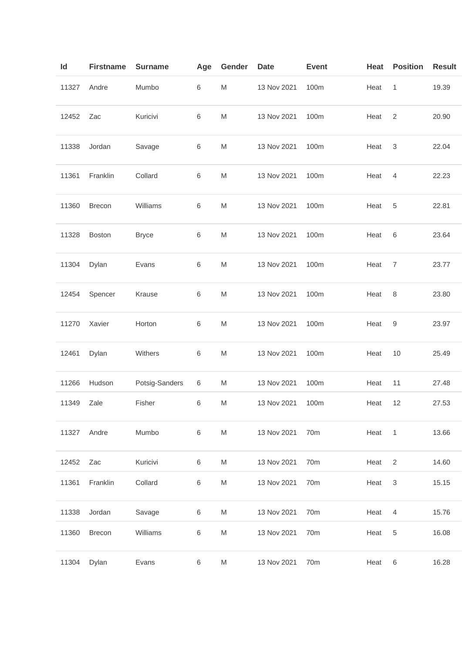| ld    | <b>Firstname</b> | <b>Surname</b> | Age     | Gender                                                                                                     | Date        | <b>Event</b> | Heat | <b>Position</b>           | <b>Result</b> |
|-------|------------------|----------------|---------|------------------------------------------------------------------------------------------------------------|-------------|--------------|------|---------------------------|---------------|
| 11327 | Andre            | Mumbo          | 6       | M                                                                                                          | 13 Nov 2021 | 100m         | Heat | $\mathbf{1}$              | 19.39         |
| 12452 | Zac              | Kuricivi       | 6       | M                                                                                                          | 13 Nov 2021 | 100m         | Heat | $\sqrt{2}$                | 20.90         |
| 11338 | Jordan           | Savage         | 6       | M                                                                                                          | 13 Nov 2021 | 100m         | Heat | 3                         | 22.04         |
| 11361 | Franklin         | Collard        | $\,6$   | M                                                                                                          | 13 Nov 2021 | 100m         | Heat | 4                         | 22.23         |
| 11360 | Brecon           | Williams       | 6       | M                                                                                                          | 13 Nov 2021 | 100m         | Heat | 5                         | 22.81         |
| 11328 | <b>Boston</b>    | <b>Bryce</b>   | 6       | M                                                                                                          | 13 Nov 2021 | 100m         | Heat | 6                         | 23.64         |
| 11304 | Dylan            | Evans          | 6       | M                                                                                                          | 13 Nov 2021 | 100m         | Heat | 7                         | 23.77         |
| 12454 | Spencer          | Krause         | 6       | $\mathsf{M}% _{T}=\mathsf{M}_{T}\!\left( a,b\right) ,\ \mathsf{M}_{T}=\mathsf{M}_{T}\!\left( a,b\right) ,$ | 13 Nov 2021 | 100m         | Heat | 8                         | 23.80         |
| 11270 | Xavier           | Horton         | $\,6$   | $\mathsf{M}% _{T}=\mathsf{M}_{T}\!\left( a,b\right) ,\ \mathsf{M}_{T}=\mathsf{M}_{T}\!\left( a,b\right) ,$ | 13 Nov 2021 | 100m         | Heat | 9                         | 23.97         |
| 12461 | Dylan            | Withers        | $\,6$   | M                                                                                                          | 13 Nov 2021 | 100m         | Heat | 10                        | 25.49         |
| 11266 | Hudson           | Potsig-Sanders | $\,6$   | M                                                                                                          | 13 Nov 2021 | 100m         | Heat | 11                        | 27.48         |
| 11349 | Zale             | Fisher         | 6       | M                                                                                                          | 13 Nov 2021 | 100m         | Heat | 12                        | 27.53         |
| 11327 | Andre            | Mumbo          | $\,6\,$ | ${\sf M}$                                                                                                  | 13 Nov 2021 | 70m          | Heat | $\overline{1}$            | 13.66         |
| 12452 | Zac              | Kuricivi       | $\,6\,$ | M                                                                                                          | 13 Nov 2021 | 70m          | Heat | 2                         | 14.60         |
| 11361 | Franklin         | Collard        | $\,6$   | M                                                                                                          | 13 Nov 2021 | 70m          | Heat | $\ensuremath{\mathsf{3}}$ | 15.15         |
| 11338 | Jordan           | Savage         | $\,6\,$ | M                                                                                                          | 13 Nov 2021 | 70m          | Heat | 4                         | 15.76         |
| 11360 | Brecon           | Williams       | $\,6$   | $\mathsf{M}% _{T}=\mathsf{M}_{T}\!\left( a,b\right) ,\ \mathsf{M}_{T}=\mathsf{M}_{T}\!\left( a,b\right) ,$ | 13 Nov 2021 | 70m          | Heat | $\,$ 5 $\,$               | 16.08         |
| 11304 | Dylan            | Evans          | $\,6\,$ | M                                                                                                          | 13 Nov 2021 | 70m          | Heat | $\,6$                     | 16.28         |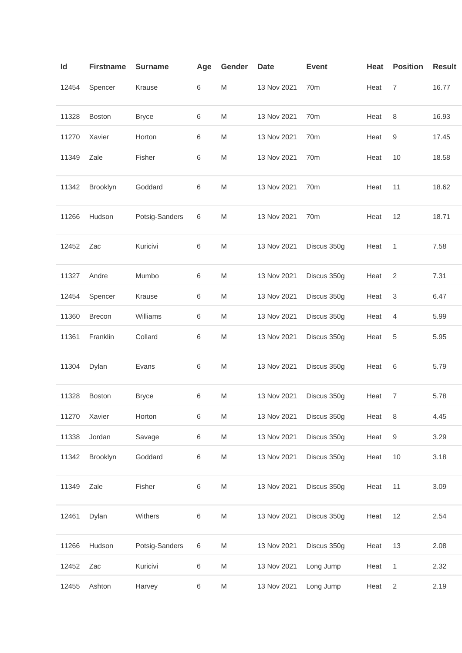| ld    | <b>Firstname</b> | <b>Surname</b> | Age   | Gender                                                                                                     | <b>Date</b> | <b>Event</b>    | Heat | <b>Position</b> | <b>Result</b> |
|-------|------------------|----------------|-------|------------------------------------------------------------------------------------------------------------|-------------|-----------------|------|-----------------|---------------|
| 12454 | Spencer          | Krause         | 6     | ${\sf M}$                                                                                                  | 13 Nov 2021 | 70 <sub>m</sub> | Heat | $\overline{7}$  | 16.77         |
| 11328 | <b>Boston</b>    | <b>Bryce</b>   | 6     | M                                                                                                          | 13 Nov 2021 | 70m             | Heat | 8               | 16.93         |
| 11270 | Xavier           | Horton         | 6     | M                                                                                                          | 13 Nov 2021 | 70m             | Heat | 9               | 17.45         |
| 11349 | Zale             | Fisher         | 6     | M                                                                                                          | 13 Nov 2021 | 70m             | Heat | 10              | 18.58         |
| 11342 | Brooklyn         | Goddard        | 6     | M                                                                                                          | 13 Nov 2021 | 70 <sub>m</sub> | Heat | 11              | 18.62         |
| 11266 | Hudson           | Potsig-Sanders | 6     | M                                                                                                          | 13 Nov 2021 | 70m             | Heat | 12              | 18.71         |
| 12452 | Zac              | Kuricivi       | 6     | M                                                                                                          | 13 Nov 2021 | Discus 350g     | Heat | 1               | 7.58          |
| 11327 | Andre            | Mumbo          | 6     | M                                                                                                          | 13 Nov 2021 | Discus 350g     | Heat | $\sqrt{2}$      | 7.31          |
| 12454 | Spencer          | Krause         | 6     | M                                                                                                          | 13 Nov 2021 | Discus 350g     | Heat | 3               | 6.47          |
| 11360 | <b>Brecon</b>    | Williams       | 6     | M                                                                                                          | 13 Nov 2021 | Discus 350g     | Heat | 4               | 5.99          |
| 11361 | Franklin         | Collard        | 6     | M                                                                                                          | 13 Nov 2021 | Discus 350g     | Heat | 5               | 5.95          |
| 11304 | Dylan            | Evans          | 6     | M                                                                                                          | 13 Nov 2021 | Discus 350g     | Heat | 6               | 5.79          |
| 11328 | <b>Boston</b>    | <b>Bryce</b>   | 6     | M                                                                                                          | 13 Nov 2021 | Discus 350g     | Heat | $\overline{7}$  | 5.78          |
| 11270 | Xavier           | Horton         | 6     | M                                                                                                          | 13 Nov 2021 | Discus 350g     | Heat | 8               | 4.45          |
| 11338 | Jordan           | Savage         | 6     | M                                                                                                          | 13 Nov 2021 | Discus 350g     | Heat | 9               | 3.29          |
| 11342 | Brooklyn         | Goddard        | 6     | M                                                                                                          | 13 Nov 2021 | Discus 350g     | Heat | 10              | 3.18          |
| 11349 | Zale             | Fisher         | 6     | ${\sf M}$                                                                                                  | 13 Nov 2021 | Discus 350g     | Heat | 11              | 3.09          |
| 12461 | Dylan            | Withers        | 6     | $\mathsf{M}% _{T}=\mathsf{M}_{T}\!\left( a,b\right) ,\ \mathsf{M}_{T}=\mathsf{M}_{T}\!\left( a,b\right) ,$ | 13 Nov 2021 | Discus 350g     | Heat | 12              | 2.54          |
| 11266 | Hudson           | Potsig-Sanders | $\,6$ | M                                                                                                          | 13 Nov 2021 | Discus 350g     | Heat | 13              | 2.08          |
| 12452 | Zac              | Kuricivi       | 6     | M                                                                                                          | 13 Nov 2021 | Long Jump       | Heat | 1               | 2.32          |
| 12455 | Ashton           | Harvey         | 6     | M                                                                                                          | 13 Nov 2021 | Long Jump       | Heat | $\overline{2}$  | 2.19          |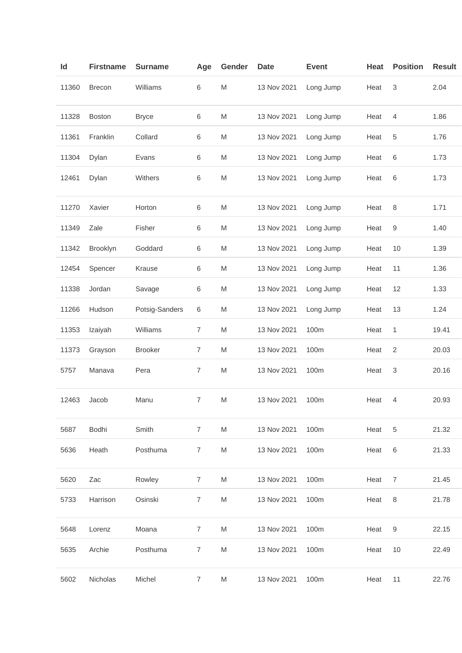| Id    | <b>Firstname</b> | <b>Surname</b> | Age              | Gender    | <b>Date</b> | <b>Event</b> | Heat | <b>Position</b> | <b>Result</b> |
|-------|------------------|----------------|------------------|-----------|-------------|--------------|------|-----------------|---------------|
| 11360 | <b>Brecon</b>    | Williams       | 6                | ${\sf M}$ | 13 Nov 2021 | Long Jump    | Heat | 3               | 2.04          |
| 11328 | Boston           | <b>Bryce</b>   | 6                | M         | 13 Nov 2021 | Long Jump    | Heat | 4               | 1.86          |
| 11361 | Franklin         | Collard        | 6                | M         | 13 Nov 2021 | Long Jump    | Heat | 5               | 1.76          |
| 11304 | Dylan            | Evans          | 6                | M         | 13 Nov 2021 | Long Jump    | Heat | 6               | 1.73          |
| 12461 | Dylan            | Withers        | 6                | M         | 13 Nov 2021 | Long Jump    | Heat | 6               | 1.73          |
| 11270 | Xavier           | Horton         | 6                | M         | 13 Nov 2021 | Long Jump    | Heat | 8               | 1.71          |
| 11349 | Zale             | Fisher         | 6                | M         | 13 Nov 2021 | Long Jump    | Heat | 9               | 1.40          |
| 11342 | Brooklyn         | Goddard        | 6                | M         | 13 Nov 2021 | Long Jump    | Heat | 10              | 1.39          |
| 12454 | Spencer          | Krause         | 6                | M         | 13 Nov 2021 | Long Jump    | Heat | 11              | 1.36          |
| 11338 | Jordan           | Savage         | 6                | M         | 13 Nov 2021 | Long Jump    | Heat | 12              | 1.33          |
| 11266 | Hudson           | Potsig-Sanders | 6                | M         | 13 Nov 2021 | Long Jump    | Heat | 13              | 1.24          |
| 11353 | Izaiyah          | Williams       | $\boldsymbol{7}$ | M         | 13 Nov 2021 | 100m         | Heat | 1               | 19.41         |
| 11373 | Grayson          | <b>Brooker</b> | $\overline{7}$   | M         | 13 Nov 2021 | 100m         | Heat | $\mathbf{2}$    | 20.03         |
| 5757  | Manava           | Pera           | $\overline{7}$   | M         | 13 Nov 2021 | 100m         | Heat | 3               | 20.16         |
| 12463 | Jacob            | Manu           | $\overline{7}$   | M         | 13 Nov 2021 | 100m         | Heat | 4               | 20.93         |
| 5687  | <b>Bodhi</b>     | Smith          | $\overline{7}$   | M         | 13 Nov 2021 | 100m         | Heat | $\sqrt{5}$      | 21.32         |
| 5636  | Heath            | Posthuma       | $\overline{7}$   | M         | 13 Nov 2021 | 100m         | Heat | 6               | 21.33         |
| 5620  | Zac              | Rowley         | $\overline{7}$   | M         | 13 Nov 2021 | 100m         | Heat | 7               | 21.45         |
| 5733  | Harrison         | Osinski        | $\overline{7}$   | M         | 13 Nov 2021 | 100m         | Heat | 8               | 21.78         |
| 5648  | Lorenz           | Moana          | $\overline{7}$   | M         | 13 Nov 2021 | 100m         | Heat | 9               | 22.15         |
| 5635  | Archie           | Posthuma       | $\overline{7}$   | M         | 13 Nov 2021 | 100m         | Heat | 10              | 22.49         |
| 5602  | Nicholas         | Michel         | $\overline{7}$   | M         | 13 Nov 2021 | 100m         | Heat | 11              | 22.76         |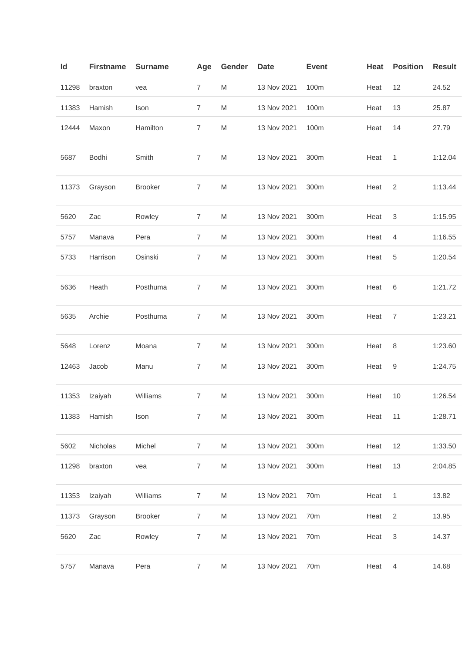| Id    | <b>Firstname</b> | <b>Surname</b> | Age            | Gender    | <b>Date</b> | <b>Event</b>    | Heat | <b>Position</b> | <b>Result</b> |
|-------|------------------|----------------|----------------|-----------|-------------|-----------------|------|-----------------|---------------|
| 11298 | braxton          | vea            | $\overline{7}$ | ${\sf M}$ | 13 Nov 2021 | 100m            | Heat | 12              | 24.52         |
| 11383 | Hamish           | Ison           | $\overline{7}$ | M         | 13 Nov 2021 | 100m            | Heat | 13              | 25.87         |
| 12444 | Maxon            | Hamilton       | $\overline{7}$ | M         | 13 Nov 2021 | 100m            | Heat | 14              | 27.79         |
| 5687  | Bodhi            | Smith          | $\overline{7}$ | M         | 13 Nov 2021 | 300m            | Heat | 1               | 1:12.04       |
| 11373 | Grayson          | <b>Brooker</b> | $\overline{7}$ | M         | 13 Nov 2021 | 300m            | Heat | 2               | 1:13.44       |
| 5620  | Zac              | Rowley         | $\overline{7}$ | M         | 13 Nov 2021 | 300m            | Heat | $\sqrt{3}$      | 1:15.95       |
| 5757  | Manava           | Pera           | $\overline{7}$ | M         | 13 Nov 2021 | 300m            | Heat | $\overline{4}$  | 1:16.55       |
| 5733  | Harrison         | Osinski        | $\overline{7}$ | M         | 13 Nov 2021 | 300m            | Heat | 5               | 1:20.54       |
| 5636  | Heath            | Posthuma       | $\overline{7}$ | M         | 13 Nov 2021 | 300m            | Heat | $\,6$           | 1:21.72       |
| 5635  | Archie           | Posthuma       | $\overline{7}$ | M         | 13 Nov 2021 | 300m            | Heat | $\overline{7}$  | 1:23.21       |
| 5648  | Lorenz           | Moana          | $\overline{7}$ | M         | 13 Nov 2021 | 300m            | Heat | $\,8\,$         | 1:23.60       |
| 12463 | Jacob            | Manu           | $\overline{7}$ | M         | 13 Nov 2021 | 300m            | Heat | 9               | 1:24.75       |
| 11353 | Izaiyah          | Williams       | $\overline{7}$ | M         | 13 Nov 2021 | 300m            | Heat | 10              | 1:26.54       |
| 11383 | Hamish           | Ison           | $\overline{7}$ | M         | 13 Nov 2021 | 300m            | Heat | 11              | 1:28.71       |
| 5602  | Nicholas         | Michel         | 7              | M         | 13 Nov 2021 | 300m            | Heat | 12              | 1:33.50       |
| 11298 | braxton          | vea            | $\overline{7}$ | M         | 13 Nov 2021 | 300m            | Heat | 13              | 2:04.85       |
| 11353 | Izaiyah          | Williams       | $\overline{7}$ | M         | 13 Nov 2021 | 70 <sub>m</sub> | Heat | $\overline{1}$  | 13.82         |
| 11373 | Grayson          | <b>Brooker</b> | $\overline{7}$ | M         | 13 Nov 2021 | 70m             | Heat | $\overline{2}$  | 13.95         |
| 5620  | Zac              | Rowley         | $\overline{7}$ | M         | 13 Nov 2021 | 70m             | Heat | $\sqrt{3}$      | 14.37         |
| 5757  | Manava           | Pera           | $\overline{7}$ | ${\sf M}$ | 13 Nov 2021 | 70m             | Heat | $\overline{4}$  | 14.68         |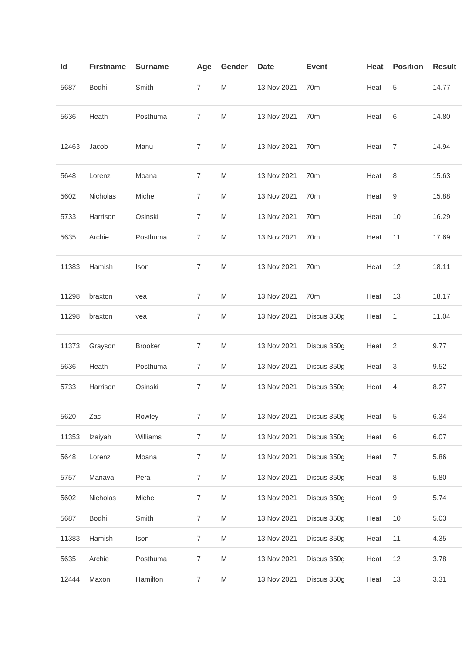| ld |       | <b>Firstname</b> | <b>Surname</b> | Age            | Gender | <b>Date</b> | <b>Event</b>    | Heat | <b>Position</b>  | <b>Result</b> |
|----|-------|------------------|----------------|----------------|--------|-------------|-----------------|------|------------------|---------------|
|    | 5687  | Bodhi            | Smith          | $\overline{7}$ | M      | 13 Nov 2021 | 70m             | Heat | 5                | 14.77         |
|    | 5636  | Heath            | Posthuma       | $\overline{7}$ | M      | 13 Nov 2021 | 70m             | Heat | 6                | 14.80         |
|    | 12463 | Jacob            | Manu           | $\overline{7}$ | M      | 13 Nov 2021 | 70m             | Heat | $\overline{7}$   | 14.94         |
|    | 5648  | Lorenz           | Moana          | $\overline{7}$ | M      | 13 Nov 2021 | 70 <sub>m</sub> | Heat | 8                | 15.63         |
|    | 5602  | Nicholas         | Michel         | 7              | M      | 13 Nov 2021 | 70m             | Heat | 9                | 15.88         |
|    | 5733  | Harrison         | Osinski        | $\overline{7}$ | M      | 13 Nov 2021 | 70m             | Heat | 10               | 16.29         |
|    | 5635  | Archie           | Posthuma       | 7              | M      | 13 Nov 2021 | 70 <sub>m</sub> | Heat | 11               | 17.69         |
|    | 11383 | Hamish           | Ison           | $\overline{7}$ | M      | 13 Nov 2021 | 70m             | Heat | 12               | 18.11         |
|    | 11298 | braxton          | vea            | $\overline{7}$ | M      | 13 Nov 2021 | 70m             | Heat | 13               | 18.17         |
|    | 11298 | braxton          | vea            | $\overline{7}$ | M      | 13 Nov 2021 | Discus 350g     | Heat | $\mathbf{1}$     | 11.04         |
|    | 11373 | Grayson          | <b>Brooker</b> | $\overline{7}$ | M      | 13 Nov 2021 | Discus 350g     | Heat | 2                | 9.77          |
|    | 5636  | Heath            | Posthuma       | $\overline{7}$ | M      | 13 Nov 2021 | Discus 350g     | Heat | 3                | 9.52          |
|    | 5733  | Harrison         | Osinski        | $\overline{7}$ | M      | 13 Nov 2021 | Discus 350g     | Heat | 4                | 8.27          |
|    | 5620  | Zac              | Rowley         | $\overline{7}$ | M      | 13 Nov 2021 | Discus 350g     | Heat | 5                | 6.34          |
|    | 11353 | Izaiyah          | Williams       | $\overline{7}$ | M      | 13 Nov 2021 | Discus 350g     | Heat | 6                | 6.07          |
|    | 5648  | Lorenz           | Moana          | $\overline{7}$ | M      | 13 Nov 2021 | Discus 350g     | Heat | $\overline{7}$   | 5.86          |
|    | 5757  | Manava           | Pera           | $\overline{7}$ | M      | 13 Nov 2021 | Discus 350g     | Heat | $\,8\,$          | 5.80          |
|    | 5602  | Nicholas         | Michel         | $\overline{7}$ | M      | 13 Nov 2021 | Discus 350g     | Heat | $\boldsymbol{9}$ | 5.74          |
|    | 5687  | Bodhi            | Smith          | $\overline{7}$ | M      | 13 Nov 2021 | Discus 350g     | Heat | 10               | 5.03          |
|    | 11383 | Hamish           | Ison           | $\overline{7}$ | M      | 13 Nov 2021 | Discus 350g     | Heat | 11               | 4.35          |
|    | 5635  | Archie           | Posthuma       | $\overline{7}$ | M      | 13 Nov 2021 | Discus 350g     | Heat | 12               | 3.78          |
|    | 12444 | Maxon            | Hamilton       | $\overline{7}$ | M      | 13 Nov 2021 | Discus 350g     | Heat | 13               | 3.31          |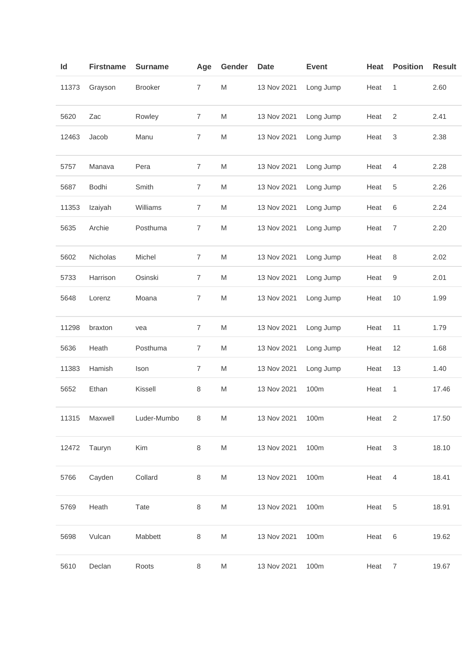| Id    | <b>Firstname</b> | <b>Surname</b> | Age            | Gender    | <b>Date</b> | <b>Event</b> | Heat | <b>Position</b> | <b>Result</b> |
|-------|------------------|----------------|----------------|-----------|-------------|--------------|------|-----------------|---------------|
| 11373 | Grayson          | <b>Brooker</b> | $\overline{7}$ | M         | 13 Nov 2021 | Long Jump    | Heat | 1               | 2.60          |
| 5620  | Zac              | Rowley         | $\overline{7}$ | M         | 13 Nov 2021 | Long Jump    | Heat | 2               | 2.41          |
| 12463 | Jacob            | Manu           | $\overline{7}$ | M         | 13 Nov 2021 | Long Jump    | Heat | 3               | 2.38          |
| 5757  | Manava           | Pera           | $\overline{7}$ | M         | 13 Nov 2021 | Long Jump    | Heat | 4               | 2.28          |
| 5687  | Bodhi            | Smith          | $\overline{7}$ | M         | 13 Nov 2021 | Long Jump    | Heat | 5               | 2.26          |
| 11353 | Izaiyah          | Williams       | 7              | M         | 13 Nov 2021 | Long Jump    | Heat | 6               | 2.24          |
| 5635  | Archie           | Posthuma       | 7              | M         | 13 Nov 2021 | Long Jump    | Heat | 7               | 2.20          |
| 5602  | Nicholas         | Michel         | $\overline{7}$ | M         | 13 Nov 2021 | Long Jump    | Heat | 8               | 2.02          |
| 5733  | Harrison         | Osinski        | $\overline{7}$ | M         | 13 Nov 2021 | Long Jump    | Heat | 9               | 2.01          |
| 5648  | Lorenz           | Moana          | $\overline{7}$ | M         | 13 Nov 2021 | Long Jump    | Heat | 10              | 1.99          |
| 11298 | braxton          | vea            | 7              | M         | 13 Nov 2021 | Long Jump    | Heat | 11              | 1.79          |
| 5636  | Heath            | Posthuma       | $\overline{7}$ | M         | 13 Nov 2021 | Long Jump    | Heat | 12              | 1.68          |
| 11383 | Hamish           | Ison           | $\overline{7}$ | M         | 13 Nov 2021 | Long Jump    | Heat | 13              | 1.40          |
| 5652  | Ethan            | Kissell        | 8              | M         | 13 Nov 2021 | 100m         | Heat | 1               | 17.46         |
| 11315 | Maxwell          | Luder-Mumbo    | 8              | ${\sf M}$ | 13 Nov 2021 | 100m         | Heat | 2               | 17.50         |
| 12472 | Tauryn           | Kim            | 8              | M         | 13 Nov 2021 | 100m         | Heat | $\sqrt{3}$      | 18.10         |
| 5766  | Cayden           | Collard        | 8              | ${\sf M}$ | 13 Nov 2021 | 100m         | Heat | $\overline{4}$  | 18.41         |
| 5769  | Heath            | Tate           | 8              | ${\sf M}$ | 13 Nov 2021 | 100m         | Heat | 5               | 18.91         |
| 5698  | Vulcan           | Mabbett        | $\,8\,$        | M         | 13 Nov 2021 | 100m         | Heat | 6               | 19.62         |
| 5610  | Declan           | Roots          | 8              | M         | 13 Nov 2021 | 100m         | Heat | $\overline{7}$  | 19.67         |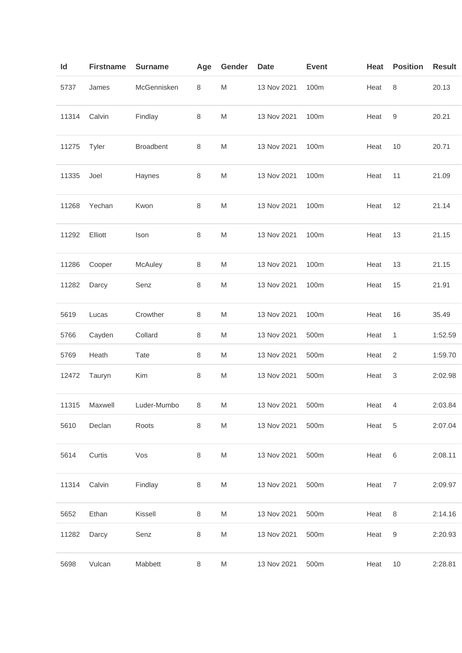| ld    | <b>Firstname</b> | <b>Surname</b>   | Age     | Gender    | Date        | <b>Event</b> | Heat | <b>Position</b> | <b>Result</b> |
|-------|------------------|------------------|---------|-----------|-------------|--------------|------|-----------------|---------------|
| 5737  | James            | McGennisken      | 8       | M         | 13 Nov 2021 | 100m         | Heat | $\,8\,$         | 20.13         |
| 11314 | Calvin           | Findlay          | 8       | M         | 13 Nov 2021 | 100m         | Heat | 9               | 20.21         |
| 11275 | Tyler            | <b>Broadbent</b> | 8       | M         | 13 Nov 2021 | 100m         | Heat | 10              | 20.71         |
| 11335 | Joel             | Haynes           | 8       | M         | 13 Nov 2021 | 100m         | Heat | 11              | 21.09         |
| 11268 | Yechan           | Kwon             | 8       | M         | 13 Nov 2021 | 100m         | Heat | 12              | 21.14         |
| 11292 | Elliott          | Ison             | 8       | M         | 13 Nov 2021 | 100m         | Heat | 13              | 21.15         |
| 11286 | Cooper           | McAuley          | $\,8\,$ | M         | 13 Nov 2021 | 100m         | Heat | 13              | 21.15         |
| 11282 | Darcy            | Senz             | 8       | M         | 13 Nov 2021 | 100m         | Heat | 15              | 21.91         |
| 5619  | Lucas            | Crowther         | $\,8\,$ | M         | 13 Nov 2021 | 100m         | Heat | 16              | 35.49         |
| 5766  | Cayden           | Collard          | $\,8\,$ | M         | 13 Nov 2021 | 500m         | Heat | 1               | 1:52.59       |
| 5769  | Heath            | Tate             | 8       | M         | 13 Nov 2021 | 500m         | Heat | $\overline{2}$  | 1:59.70       |
| 12472 | Tauryn           | Kim              | 8       | M         | 13 Nov 2021 | 500m         | Heat | 3               | 2:02.98       |
| 11315 | Maxwell          | Luder-Mumbo      | 8       | M         | 13 Nov 2021 | 500m         | Heat | 4               | 2:03.84       |
| 5610  | Declan           | Roots            | $\,8\,$ | M         | 13 Nov 2021 | 500m         | Heat | 5               | 2:07.04       |
| 5614  | Curtis           | Vos              | 8       | M         | 13 Nov 2021 | 500m         | Heat | 6               | 2:08.11       |
| 11314 | Calvin           | Findlay          | 8       | M         | 13 Nov 2021 | 500m         | Heat | $\overline{7}$  | 2:09.97       |
| 5652  | Ethan            | Kissell          | $\,8\,$ | ${\sf M}$ | 13 Nov 2021 | 500m         | Heat | $\,8\,$         | 2:14.16       |
| 11282 | Darcy            | Senz             | $\,8\,$ | M         | 13 Nov 2021 | 500m         | Heat | 9               | 2:20.93       |
| 5698  | Vulcan           | Mabbett          | 8       | M         | 13 Nov 2021 | 500m         | Heat | 10              | 2:28.81       |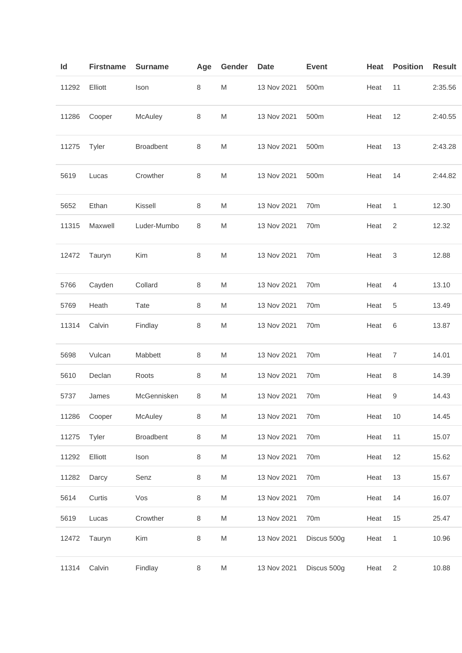| ld    | <b>Firstname</b> | <b>Surname</b>   | Age     | Gender                                                                                                     | Date        | <b>Event</b>    | Heat | <b>Position</b> | <b>Result</b> |
|-------|------------------|------------------|---------|------------------------------------------------------------------------------------------------------------|-------------|-----------------|------|-----------------|---------------|
| 11292 | Elliott          | Ison             | 8       | M                                                                                                          | 13 Nov 2021 | 500m            | Heat | 11              | 2:35.56       |
| 11286 | Cooper           | McAuley          | 8       | M                                                                                                          | 13 Nov 2021 | 500m            | Heat | 12              | 2:40.55       |
| 11275 | Tyler            | <b>Broadbent</b> | 8       | M                                                                                                          | 13 Nov 2021 | 500m            | Heat | 13              | 2:43.28       |
| 5619  | Lucas            | Crowther         | 8       | M                                                                                                          | 13 Nov 2021 | 500m            | Heat | 14              | 2:44.82       |
| 5652  | Ethan            | Kissell          | 8       | M                                                                                                          | 13 Nov 2021 | 70m             | Heat | 1               | 12.30         |
| 11315 | Maxwell          | Luder-Mumbo      | 8       | M                                                                                                          | 13 Nov 2021 | 70m             | Heat | 2               | 12.32         |
| 12472 | Tauryn           | Kim              | 8       | M                                                                                                          | 13 Nov 2021 | 70m             | Heat | 3               | 12.88         |
| 5766  | Cayden           | Collard          | 8       | M                                                                                                          | 13 Nov 2021 | 70m             | Heat | 4               | 13.10         |
| 5769  | Heath            | Tate             | 8       | M                                                                                                          | 13 Nov 2021 | 70m             | Heat | 5               | 13.49         |
| 11314 | Calvin           | Findlay          | 8       | M                                                                                                          | 13 Nov 2021 | 70m             | Heat | 6               | 13.87         |
| 5698  | Vulcan           | Mabbett          | 8       | M                                                                                                          | 13 Nov 2021 | 70m             | Heat | 7               | 14.01         |
| 5610  | Declan           | Roots            | $\,8\,$ | M                                                                                                          | 13 Nov 2021 | 70 <sub>m</sub> | Heat | 8               | 14.39         |
| 5737  | James            | McGennisken      | 8       | M                                                                                                          | 13 Nov 2021 | 70m             | Heat | 9               | 14.43         |
| 11286 | Cooper           | McAuley          | $\,8\,$ | M                                                                                                          | 13 Nov 2021 | 70m             | Heat | 10              | 14.45         |
| 11275 | Tyler            | <b>Broadbent</b> | $\,8\,$ | M                                                                                                          | 13 Nov 2021 | 70m             | Heat | 11              | 15.07         |
| 11292 | Elliott          | Ison             | $\,8\,$ | M                                                                                                          | 13 Nov 2021 | 70m             | Heat | 12              | 15.62         |
| 11282 | Darcy            | Senz             | $\,8\,$ | M                                                                                                          | 13 Nov 2021 | 70 <sub>m</sub> | Heat | 13              | 15.67         |
| 5614  | Curtis           | Vos              | $\,8\,$ | $\mathsf{M}% _{T}=\mathsf{M}_{T}\!\left( a,b\right) ,\ \mathsf{M}_{T}=\mathsf{M}_{T}\!\left( a,b\right) ,$ | 13 Nov 2021 | 70m             | Heat | 14              | 16.07         |
| 5619  | Lucas            | Crowther         | 8       | M                                                                                                          | 13 Nov 2021 | 70m             | Heat | 15              | 25.47         |
| 12472 | Tauryn           | Kim              | $\,8\,$ | M                                                                                                          | 13 Nov 2021 | Discus 500g     | Heat | $\mathbf{1}$    | 10.96         |
| 11314 | Calvin           | Findlay          | $\,8\,$ | M                                                                                                          | 13 Nov 2021 | Discus 500g     | Heat | $\sqrt{2}$      | 10.88         |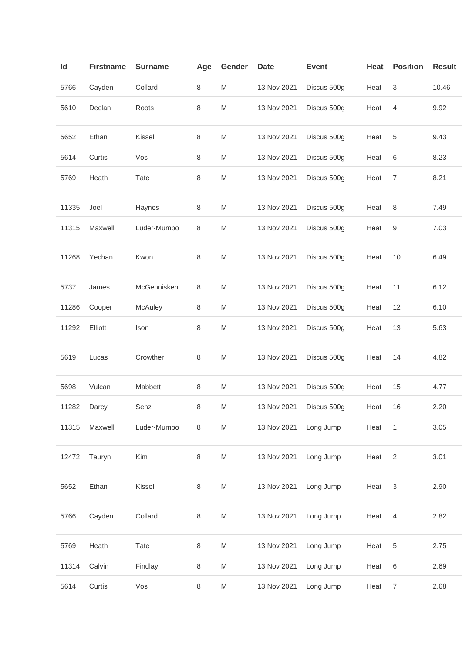| ld    | <b>Firstname</b> | <b>Surname</b> | Age     | Gender | <b>Date</b> | <b>Event</b> | Heat | <b>Position</b> | <b>Result</b> |
|-------|------------------|----------------|---------|--------|-------------|--------------|------|-----------------|---------------|
| 5766  | Cayden           | Collard        | 8       | M      | 13 Nov 2021 | Discus 500g  | Heat | 3               | 10.46         |
| 5610  | Declan           | Roots          | 8       | M      | 13 Nov 2021 | Discus 500g  | Heat | 4               | 9.92          |
| 5652  | Ethan            | Kissell        | 8       | M      | 13 Nov 2021 | Discus 500g  | Heat | 5               | 9.43          |
| 5614  | Curtis           | Vos            | 8       | M      | 13 Nov 2021 | Discus 500g  | Heat | 6               | 8.23          |
| 5769  | Heath            | Tate           | 8       | M      | 13 Nov 2021 | Discus 500g  | Heat | 7               | 8.21          |
| 11335 | Joel             | Haynes         | 8       | M      | 13 Nov 2021 | Discus 500g  | Heat | 8               | 7.49          |
| 11315 | Maxwell          | Luder-Mumbo    | 8       | M      | 13 Nov 2021 | Discus 500g  | Heat | 9               | 7.03          |
| 11268 | Yechan           | Kwon           | 8       | M      | 13 Nov 2021 | Discus 500g  | Heat | 10              | 6.49          |
| 5737  | James            | McGennisken    | 8       | M      | 13 Nov 2021 | Discus 500g  | Heat | 11              | 6.12          |
| 11286 | Cooper           | McAuley        | 8       | M      | 13 Nov 2021 | Discus 500g  | Heat | 12              | 6.10          |
| 11292 | Elliott          | Ison           | 8       | M      | 13 Nov 2021 | Discus 500g  | Heat | 13              | 5.63          |
| 5619  | Lucas            | Crowther       | 8       | M      | 13 Nov 2021 | Discus 500g  | Heat | 14              | 4.82          |
| 5698  | Vulcan           | Mabbett        | 8       | M      | 13 Nov 2021 | Discus 500g  | Heat | 15              | 4.77          |
| 11282 | Darcy            | Senz           | 8       | M      | 13 Nov 2021 | Discus 500g  | Heat | 16              | 2.20          |
| 11315 | Maxwell          | Luder-Mumbo    | 8       | M      | 13 Nov 2021 | Long Jump    | Heat | $\overline{1}$  | 3.05          |
| 12472 | Tauryn           | Kim            | 8       | M      | 13 Nov 2021 | Long Jump    | Heat | 2               | 3.01          |
| 5652  | Ethan            | Kissell        | $\,8\,$ | M      | 13 Nov 2021 | Long Jump    | Heat | 3               | 2.90          |
| 5766  | Cayden           | Collard        | $\,8\,$ | M      | 13 Nov 2021 | Long Jump    | Heat | $\overline{4}$  | 2.82          |
| 5769  | Heath            | Tate           | 8       | M      | 13 Nov 2021 | Long Jump    | Heat | 5               | 2.75          |
| 11314 | Calvin           | Findlay        | 8       | M      | 13 Nov 2021 | Long Jump    | Heat | 6               | 2.69          |
| 5614  | Curtis           | Vos            | 8       | M      | 13 Nov 2021 | Long Jump    | Heat | $\overline{7}$  | 2.68          |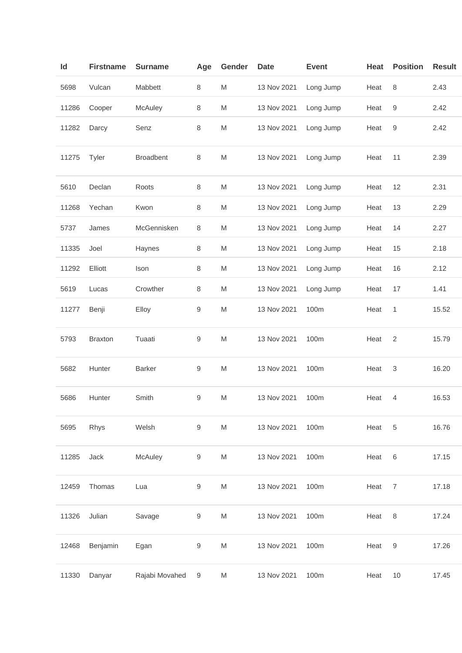| ld    | <b>Firstname</b> | <b>Surname</b>   | Age              | Gender                                                                                                     | <b>Date</b> | <b>Event</b> | Heat | <b>Position</b> | <b>Result</b> |
|-------|------------------|------------------|------------------|------------------------------------------------------------------------------------------------------------|-------------|--------------|------|-----------------|---------------|
| 5698  | Vulcan           | Mabbett          | 8                | M                                                                                                          | 13 Nov 2021 | Long Jump    | Heat | $\,8\,$         | 2.43          |
| 11286 | Cooper           | McAuley          | 8                | M                                                                                                          | 13 Nov 2021 | Long Jump    | Heat | 9               | 2.42          |
| 11282 | Darcy            | Senz             | 8                | M                                                                                                          | 13 Nov 2021 | Long Jump    | Heat | 9               | 2.42          |
| 11275 | Tyler            | <b>Broadbent</b> | 8                | M                                                                                                          | 13 Nov 2021 | Long Jump    | Heat | 11              | 2.39          |
| 5610  | Declan           | Roots            | 8                | M                                                                                                          | 13 Nov 2021 | Long Jump    | Heat | 12              | 2.31          |
| 11268 | Yechan           | Kwon             | 8                | M                                                                                                          | 13 Nov 2021 | Long Jump    | Heat | 13              | 2.29          |
| 5737  | James            | McGennisken      | 8                | M                                                                                                          | 13 Nov 2021 | Long Jump    | Heat | 14              | 2.27          |
| 11335 | Joel             | Haynes           | 8                | M                                                                                                          | 13 Nov 2021 | Long Jump    | Heat | 15              | 2.18          |
| 11292 | Elliott          | Ison             | $\,8\,$          | $\mathsf{M}% _{T}=\mathsf{M}_{T}\!\left( a,b\right) ,\ \mathsf{M}_{T}=\mathsf{M}_{T}\!\left( a,b\right) ,$ | 13 Nov 2021 | Long Jump    | Heat | 16              | 2.12          |
| 5619  | Lucas            | Crowther         | 8                | M                                                                                                          | 13 Nov 2021 | Long Jump    | Heat | 17              | 1.41          |
| 11277 | Benji            | Elloy            | 9                | M                                                                                                          | 13 Nov 2021 | 100m         | Heat | 1               | 15.52         |
| 5793  | <b>Braxton</b>   | Tuaati           | 9                | M                                                                                                          | 13 Nov 2021 | 100m         | Heat | 2               | 15.79         |
| 5682  | Hunter           | <b>Barker</b>    | 9                | M                                                                                                          | 13 Nov 2021 | 100m         | Heat | 3               | 16.20         |
| 5686  | Hunter           | Smith            | 9                | M                                                                                                          | 13 Nov 2021 | 100m         | Heat | 4               | 16.53         |
| 5695  | Rhys             | Welsh            | $\boldsymbol{9}$ | M                                                                                                          | 13 Nov 2021 | 100m         | Heat | 5               | 16.76         |
| 11285 | Jack             | McAuley          | 9                | M                                                                                                          | 13 Nov 2021 | 100m         | Heat | $\,6$           | 17.15         |
| 12459 | Thomas           | Lua              | 9                | M                                                                                                          | 13 Nov 2021 | 100m         | Heat | $\overline{7}$  | 17.18         |
| 11326 | Julian           | Savage           | 9                | M                                                                                                          | 13 Nov 2021 | 100m         | Heat | $\,8\,$         | 17.24         |
| 12468 | Benjamin         | Egan             | 9                | M                                                                                                          | 13 Nov 2021 | 100m         | Heat | 9               | 17.26         |
| 11330 | Danyar           | Rajabi Movahed   | 9                | M                                                                                                          | 13 Nov 2021 | 100m         | Heat | 10              | 17.45         |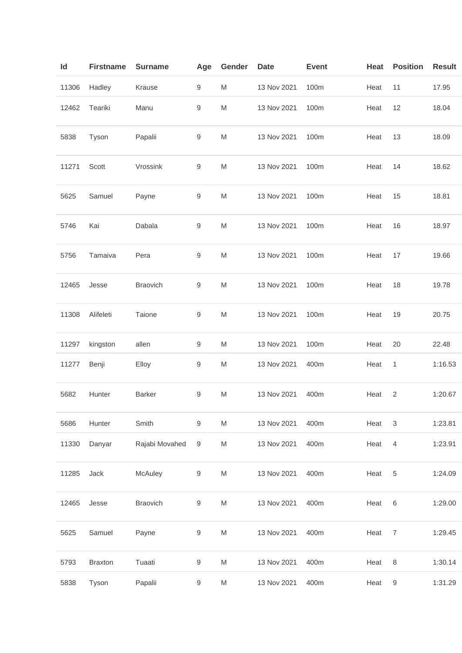| ld    | <b>Firstname</b> | <b>Surname</b>  | Age              | Gender                                                                                                     | <b>Date</b> | <b>Event</b> | Heat | <b>Position</b>           | <b>Result</b> |
|-------|------------------|-----------------|------------------|------------------------------------------------------------------------------------------------------------|-------------|--------------|------|---------------------------|---------------|
| 11306 | Hadley           | Krause          | 9                | M                                                                                                          | 13 Nov 2021 | 100m         | Heat | 11                        | 17.95         |
| 12462 | Teariki          | Manu            | 9                | M                                                                                                          | 13 Nov 2021 | 100m         | Heat | 12                        | 18.04         |
| 5838  | Tyson            | Papalii         | 9                | M                                                                                                          | 13 Nov 2021 | 100m         | Heat | 13                        | 18.09         |
| 11271 | Scott            | Vrossink        | 9                | ${\sf M}$                                                                                                  | 13 Nov 2021 | 100m         | Heat | 14                        | 18.62         |
| 5625  | Samuel           | Payne           | 9                | M                                                                                                          | 13 Nov 2021 | 100m         | Heat | 15                        | 18.81         |
| 5746  | Kai              | Dabala          | 9                | M                                                                                                          | 13 Nov 2021 | 100m         | Heat | 16                        | 18.97         |
| 5756  | Tamaiva          | Pera            | 9                | M                                                                                                          | 13 Nov 2021 | 100m         | Heat | 17                        | 19.66         |
| 12465 | Jesse            | <b>Braovich</b> | 9                | M                                                                                                          | 13 Nov 2021 | 100m         | Heat | 18                        | 19.78         |
| 11308 | Alifeleti        | Taione          | 9                | M                                                                                                          | 13 Nov 2021 | 100m         | Heat | 19                        | 20.75         |
| 11297 | kingston         | allen           | 9                | M                                                                                                          | 13 Nov 2021 | 100m         | Heat | 20                        | 22.48         |
| 11277 | Benji            | Elloy           | 9                | M                                                                                                          | 13 Nov 2021 | 400m         | Heat | 1                         | 1:16.53       |
| 5682  | Hunter           | <b>Barker</b>   | 9                | M                                                                                                          | 13 Nov 2021 | 400m         | Heat | $\overline{2}$            | 1:20.67       |
| 5686  | Hunter           | Smith           | $\boldsymbol{9}$ | M                                                                                                          | 13 Nov 2021 | 400m         | Heat | $\ensuremath{\mathsf{3}}$ | 1:23.81       |
| 11330 | Danyar           | Rajabi Movahed  | $\boldsymbol{9}$ | M                                                                                                          | 13 Nov 2021 | 400m         | Heat | $\overline{4}$            | 1:23.91       |
| 11285 | Jack             | <b>McAuley</b>  | 9                | M                                                                                                          | 13 Nov 2021 | 400m         | Heat | 5                         | 1:24.09       |
| 12465 | Jesse            | Braovich        | 9                | $\mathsf{M}% _{T}=\mathsf{M}_{T}\!\left( a,b\right) ,\ \mathsf{M}_{T}=\mathsf{M}_{T}\!\left( a,b\right) ,$ | 13 Nov 2021 | 400m         | Heat | 6                         | 1:29.00       |
| 5625  | Samuel           | Payne           | 9                | $\mathsf{M}% _{T}=\mathsf{M}_{T}\!\left( a,b\right) ,\ \mathsf{M}_{T}=\mathsf{M}_{T}\!\left( a,b\right) ,$ | 13 Nov 2021 | 400m         | Heat | $\overline{7}$            | 1:29.45       |
| 5793  | <b>Braxton</b>   | Tuaati          | 9                | $\mathsf{M}% _{T}=\mathsf{M}_{T}\!\left( a,b\right) ,\ \mathsf{M}_{T}=\mathsf{M}_{T}\!\left( a,b\right) ,$ | 13 Nov 2021 | 400m         | Heat | $\,8\,$                   | 1:30.14       |
| 5838  | Tyson            | Papalii         | 9                | M                                                                                                          | 13 Nov 2021 | 400m         | Heat | 9                         | 1:31.29       |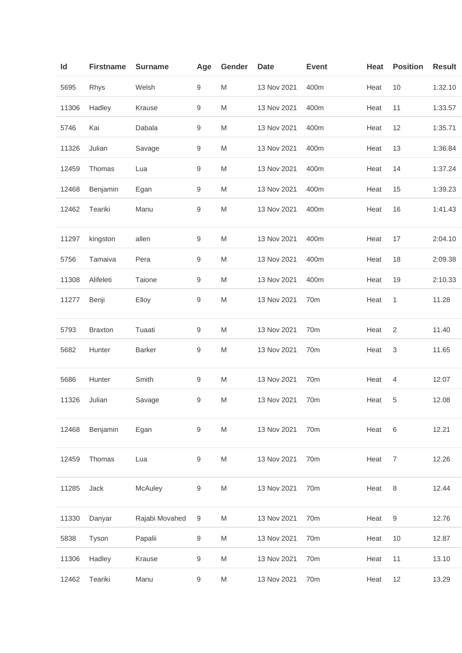| Id    | <b>Firstname</b> | <b>Surname</b> | Age              | Gender                                                                                                     | <b>Date</b> | <b>Event</b>    | Heat | <b>Position</b> | <b>Result</b> |
|-------|------------------|----------------|------------------|------------------------------------------------------------------------------------------------------------|-------------|-----------------|------|-----------------|---------------|
| 5695  | Rhys             | Welsh          | 9                | M                                                                                                          | 13 Nov 2021 | 400m            | Heat | 10              | 1:32.10       |
| 11306 | Hadley           | Krause         | 9                | M                                                                                                          | 13 Nov 2021 | 400m            | Heat | 11              | 1:33.57       |
| 5746  | Kai              | Dabala         | 9                | M                                                                                                          | 13 Nov 2021 | 400m            | Heat | 12              | 1:35.71       |
| 11326 | Julian           | Savage         | $\boldsymbol{9}$ | M                                                                                                          | 13 Nov 2021 | 400m            | Heat | 13              | 1:36.84       |
| 12459 | Thomas           | Lua            | 9                | M                                                                                                          | 13 Nov 2021 | 400m            | Heat | 14              | 1:37.24       |
| 12468 | Benjamin         | Egan           | 9                | M                                                                                                          | 13 Nov 2021 | 400m            | Heat | 15              | 1:39.23       |
| 12462 | Teariki          | Manu           | 9                | ${\sf M}$                                                                                                  | 13 Nov 2021 | 400m            | Heat | 16              | 1:41.43       |
| 11297 | kingston         | allen          | 9                | M                                                                                                          | 13 Nov 2021 | 400m            | Heat | 17              | 2:04.10       |
| 5756  | Tamaiva          | Pera           | 9                | M                                                                                                          | 13 Nov 2021 | 400m            | Heat | 18              | 2:09.38       |
| 11308 | Alifeleti        | Taione         | 9                | M                                                                                                          | 13 Nov 2021 | 400m            | Heat | 19              | 2:10.33       |
| 11277 | Benji            | Elloy          | 9                | M                                                                                                          | 13 Nov 2021 | 70m             | Heat | 1               | 11.28         |
| 5793  | <b>Braxton</b>   | Tuaati         | 9                | M                                                                                                          | 13 Nov 2021 | 70m             | Heat | 2               | 11.40         |
| 5682  | Hunter           | <b>Barker</b>  | 9                | ${\sf M}$                                                                                                  | 13 Nov 2021 | 70m             | Heat | 3               | 11.65         |
| 5686  | Hunter           | Smith          | $\boldsymbol{9}$ | M                                                                                                          | 13 Nov 2021 | 70m             | Heat | $\overline{4}$  | 12.07         |
| 11326 | Julian           | Savage         | 9                | M                                                                                                          | 13 Nov 2021 | 70m             | Heat | 5               | 12.08         |
| 12468 | Benjamin         | Egan           | 9                | ${\sf M}$                                                                                                  | 13 Nov 2021 | 70m             | Heat | $6\phantom{1}6$ | 12.21         |
| 12459 | Thomas           | Lua            | $\boldsymbol{9}$ | M                                                                                                          | 13 Nov 2021 | 70m             | Heat | $\overline{7}$  | 12.26         |
| 11285 | Jack             | McAuley        | 9                | M                                                                                                          | 13 Nov 2021 | 70m             | Heat | $\,8\,$         | 12.44         |
| 11330 | Danyar           | Rajabi Movahed | 9                | M                                                                                                          | 13 Nov 2021 | 70m             | Heat | 9               | 12.76         |
| 5838  | Tyson            | Papalii        | 9                | ${\sf M}$                                                                                                  | 13 Nov 2021 | 70 <sub>m</sub> | Heat | 10              | 12.87         |
| 11306 | Hadley           | Krause         | 9                | M                                                                                                          | 13 Nov 2021 | 70m             | Heat | 11              | 13.10         |
| 12462 | Teariki          | Manu           | $\boldsymbol{9}$ | $\mathsf{M}% _{T}=\mathsf{M}_{T}\!\left( a,b\right) ,\ \mathsf{M}_{T}=\mathsf{M}_{T}\!\left( a,b\right) ,$ | 13 Nov 2021 | 70m             | Heat | 12              | 13.29         |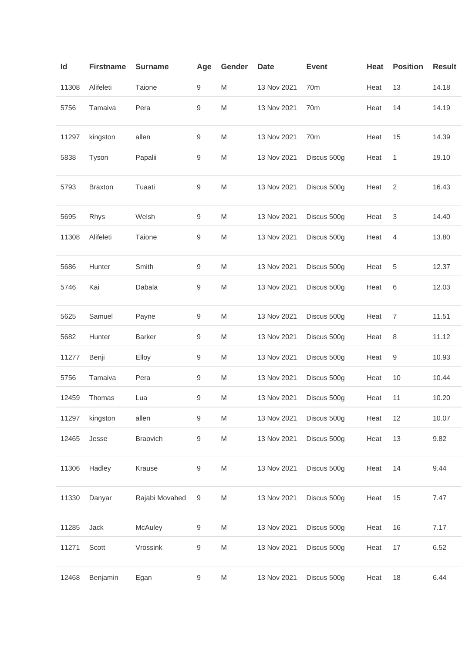| ld    | <b>Firstname</b> | <b>Surname</b>  | Age              | Gender                                                                                                     | <b>Date</b> | <b>Event</b>    | <b>Heat</b> | <b>Position</b> | <b>Result</b> |
|-------|------------------|-----------------|------------------|------------------------------------------------------------------------------------------------------------|-------------|-----------------|-------------|-----------------|---------------|
| 11308 | Alifeleti        | Taione          | 9                | M                                                                                                          | 13 Nov 2021 | 70 <sub>m</sub> | Heat        | 13              | 14.18         |
| 5756  | Tamaiva          | Pera            | 9                | M                                                                                                          | 13 Nov 2021 | 70m             | Heat        | 14              | 14.19         |
| 11297 | kingston         | allen           | 9                | M                                                                                                          | 13 Nov 2021 | 70m             | Heat        | 15              | 14.39         |
| 5838  | Tyson            | Papalii         | 9                | M                                                                                                          | 13 Nov 2021 | Discus 500g     | Heat        | 1               | 19.10         |
| 5793  | <b>Braxton</b>   | Tuaati          | 9                | M                                                                                                          | 13 Nov 2021 | Discus 500g     | Heat        | 2               | 16.43         |
| 5695  | Rhys             | Welsh           | 9                | M                                                                                                          | 13 Nov 2021 | Discus 500g     | Heat        | 3               | 14.40         |
| 11308 | Alifeleti        | Taione          | 9                | M                                                                                                          | 13 Nov 2021 | Discus 500g     | Heat        | 4               | 13.80         |
| 5686  | Hunter           | Smith           | 9                | M                                                                                                          | 13 Nov 2021 | Discus 500g     | Heat        | 5               | 12.37         |
| 5746  | Kai              | Dabala          | 9                | M                                                                                                          | 13 Nov 2021 | Discus 500g     | Heat        | 6               | 12.03         |
| 5625  | Samuel           | Payne           | 9                | M                                                                                                          | 13 Nov 2021 | Discus 500g     | Heat        | 7               | 11.51         |
| 5682  | Hunter           | <b>Barker</b>   | 9                | M                                                                                                          | 13 Nov 2021 | Discus 500g     | Heat        | 8               | 11.12         |
| 11277 | Benji            | Elloy           | 9                | M                                                                                                          | 13 Nov 2021 | Discus 500g     | Heat        | 9               | 10.93         |
| 5756  | Tamaiva          | Pera            | 9                | M                                                                                                          | 13 Nov 2021 | Discus 500g     | Heat        | 10              | 10.44         |
| 12459 | Thomas           | Lua             | 9                | M                                                                                                          | 13 Nov 2021 | Discus 500g     | Heat        | 11              | 10.20         |
| 11297 | kingston         | allen           | 9                | M                                                                                                          | 13 Nov 2021 | Discus 500g     | Heat        | 12              | 10.07         |
| 12465 | Jesse            | <b>Braovich</b> | 9                | M                                                                                                          | 13 Nov 2021 | Discus 500g     | Heat        | 13              | 9.82          |
| 11306 | Hadley           | Krause          | $\boldsymbol{9}$ | $\mathsf{M}% _{T}=\mathsf{M}_{T}\!\left( a,b\right) ,\ \mathsf{M}_{T}=\mathsf{M}_{T}\!\left( a,b\right) ,$ | 13 Nov 2021 | Discus 500g     | Heat        | 14              | 9.44          |
| 11330 | Danyar           | Rajabi Movahed  | $\boldsymbol{9}$ | $\mathsf{M}% _{T}=\mathsf{M}_{T}\!\left( a,b\right) ,\ \mathsf{M}_{T}=\mathsf{M}_{T}\!\left( a,b\right) ,$ | 13 Nov 2021 | Discus 500g     | Heat        | 15              | 7.47          |
| 11285 | Jack             | McAuley         | 9                | M                                                                                                          | 13 Nov 2021 | Discus 500g     | Heat        | 16              | 7.17          |
| 11271 | Scott            | Vrossink        | 9                | M                                                                                                          | 13 Nov 2021 | Discus 500g     | Heat        | 17              | 6.52          |
| 12468 | Benjamin         | Egan            | 9                | M                                                                                                          | 13 Nov 2021 | Discus 500g     | Heat        | 18              | 6.44          |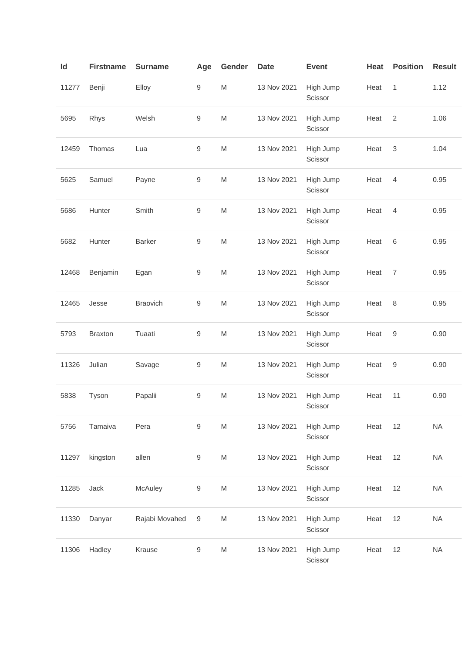| Id    | <b>Firstname</b> | <b>Surname</b>  | Age              | Gender                                                                                                     | <b>Date</b> | <b>Event</b>         | Heat | <b>Position</b>           | <b>Result</b> |
|-------|------------------|-----------------|------------------|------------------------------------------------------------------------------------------------------------|-------------|----------------------|------|---------------------------|---------------|
| 11277 | Benji            | Elloy           | 9                | $\mathsf{M}% _{T}=\mathsf{M}_{T}\!\left( a,b\right) ,\ \mathsf{M}_{T}=\mathsf{M}_{T}\!\left( a,b\right) ,$ | 13 Nov 2021 | High Jump<br>Scissor | Heat | $\mathbf{1}$              | 1.12          |
| 5695  | Rhys             | Welsh           | 9                | $\mathsf{M}% _{T}=\mathsf{M}_{T}\!\left( a,b\right) ,\ \mathsf{M}_{T}=\mathsf{M}_{T}\!\left( a,b\right) ,$ | 13 Nov 2021 | High Jump<br>Scissor | Heat | $\sqrt{2}$                | 1.06          |
| 12459 | Thomas           | Lua             | $\boldsymbol{9}$ | $\mathsf{M}% _{T}=\mathsf{M}_{T}\!\left( a,b\right) ,\ \mathsf{M}_{T}=\mathsf{M}_{T}\!\left( a,b\right) ,$ | 13 Nov 2021 | High Jump<br>Scissor | Heat | $\ensuremath{\mathsf{3}}$ | 1.04          |
| 5625  | Samuel           | Payne           | $\boldsymbol{9}$ | $\mathsf{M}% _{T}=\mathsf{M}_{T}\!\left( a,b\right) ,\ \mathsf{M}_{T}=\mathsf{M}_{T}\!\left( a,b\right) ,$ | 13 Nov 2021 | High Jump<br>Scissor | Heat | $\overline{4}$            | 0.95          |
| 5686  | Hunter           | Smith           | 9                | $\mathsf{M}% _{T}=\mathsf{M}_{T}\!\left( a,b\right) ,\ \mathsf{M}_{T}=\mathsf{M}_{T}\!\left( a,b\right) ,$ | 13 Nov 2021 | High Jump<br>Scissor | Heat | $\overline{4}$            | 0.95          |
| 5682  | Hunter           | <b>Barker</b>   | $\boldsymbol{9}$ | $\mathsf{M}% _{T}=\mathsf{M}_{T}\!\left( a,b\right) ,\ \mathsf{M}_{T}=\mathsf{M}_{T}\!\left( a,b\right) ,$ | 13 Nov 2021 | High Jump<br>Scissor | Heat | 6                         | 0.95          |
| 12468 | Benjamin         | Egan            | $\boldsymbol{9}$ | $\mathsf{M}% _{T}=\mathsf{M}_{T}\!\left( a,b\right) ,\ \mathsf{M}_{T}=\mathsf{M}_{T}\!\left( a,b\right) ,$ | 13 Nov 2021 | High Jump<br>Scissor | Heat | $\overline{7}$            | 0.95          |
| 12465 | Jesse            | <b>Braovich</b> | 9                | $\mathsf{M}% _{T}=\mathsf{M}_{T}\!\left( a,b\right) ,\ \mathsf{M}_{T}=\mathsf{M}_{T}\!\left( a,b\right) ,$ | 13 Nov 2021 | High Jump<br>Scissor | Heat | 8                         | 0.95          |
| 5793  | <b>Braxton</b>   | Tuaati          | $\boldsymbol{9}$ | $\mathsf{M}% _{T}=\mathsf{M}_{T}\!\left( a,b\right) ,\ \mathsf{M}_{T}=\mathsf{M}_{T}\!\left( a,b\right) ,$ | 13 Nov 2021 | High Jump<br>Scissor | Heat | 9                         | 0.90          |
| 11326 | Julian           | Savage          | 9                | $\mathsf{M}% _{T}=\mathsf{M}_{T}\!\left( a,b\right) ,\ \mathsf{M}_{T}=\mathsf{M}_{T}\!\left( a,b\right) ,$ | 13 Nov 2021 | High Jump<br>Scissor | Heat | 9                         | 0.90          |
| 5838  | Tyson            | Papalii         | $\boldsymbol{9}$ | $\mathsf{M}% _{T}=\mathsf{M}_{T}\!\left( a,b\right) ,\ \mathsf{M}_{T}=\mathsf{M}_{T}\!\left( a,b\right) ,$ | 13 Nov 2021 | High Jump<br>Scissor | Heat | 11                        | 0.90          |
| 5756  | Tamaiva          | Pera            | $\boldsymbol{9}$ | $\mathsf{M}% _{T}=\mathsf{M}_{T}\!\left( a,b\right) ,\ \mathsf{M}_{T}=\mathsf{M}_{T}\!\left( a,b\right) ,$ | 13 Nov 2021 | High Jump<br>Scissor | Heat | 12                        | <b>NA</b>     |
| 11297 | kingston         | allen           | $\boldsymbol{9}$ | $\mathsf{M}% _{T}=\mathsf{M}_{T}\!\left( a,b\right) ,\ \mathsf{M}_{T}=\mathsf{M}_{T}\!\left( a,b\right) ,$ | 13 Nov 2021 | High Jump<br>Scissor | Heat | 12                        | <b>NA</b>     |
| 11285 | Jack             | McAuley         | $\boldsymbol{9}$ | $\mathsf{M}% _{T}=\mathsf{M}_{T}\!\left( a,b\right) ,\ \mathsf{M}_{T}=\mathsf{M}_{T}\!\left( a,b\right) ,$ | 13 Nov 2021 | High Jump<br>Scissor | Heat | 12                        | <b>NA</b>     |
| 11330 | Danyar           | Rajabi Movahed  | $\boldsymbol{9}$ | $\mathsf{M}% _{T}=\mathsf{M}_{T}\!\left( a,b\right) ,\ \mathsf{M}_{T}=\mathsf{M}_{T}\!\left( a,b\right) ,$ | 13 Nov 2021 | High Jump<br>Scissor | Heat | 12                        | <b>NA</b>     |
| 11306 | Hadley           | Krause          | $\boldsymbol{9}$ | $\mathsf{M}% _{T}=\mathsf{M}_{T}\!\left( a,b\right) ,\ \mathsf{M}_{T}=\mathsf{M}_{T}\!\left( a,b\right) ,$ | 13 Nov 2021 | High Jump<br>Scissor | Heat | 12                        | <b>NA</b>     |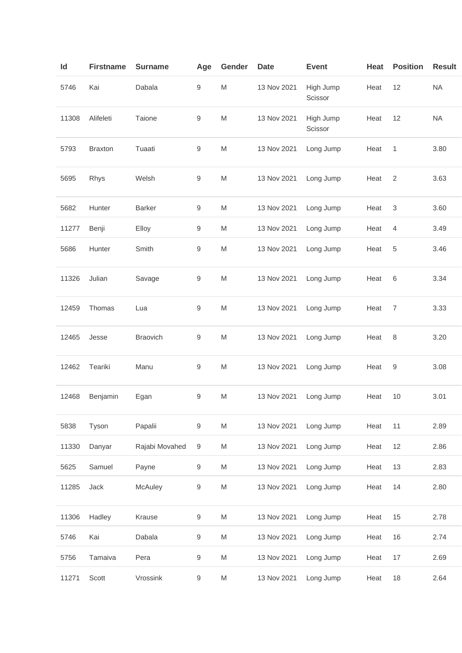| Id    | <b>Firstname</b> | <b>Surname</b> | Age              | Gender                                                                                                     | <b>Date</b> | <b>Event</b>         | Heat | <b>Position</b> | <b>Result</b> |
|-------|------------------|----------------|------------------|------------------------------------------------------------------------------------------------------------|-------------|----------------------|------|-----------------|---------------|
| 5746  | Kai              | Dabala         | $\boldsymbol{9}$ | $\mathsf{M}% _{T}=\mathsf{M}_{T}\!\left( a,b\right) ,\ \mathsf{M}_{T}=\mathsf{M}_{T}\!\left( a,b\right) ,$ | 13 Nov 2021 | High Jump<br>Scissor | Heat | 12              | <b>NA</b>     |
| 11308 | Alifeleti        | Taione         | 9                | $\mathsf{M}% _{T}=\mathsf{M}_{T}\!\left( a,b\right) ,\ \mathsf{M}_{T}=\mathsf{M}_{T}\!\left( a,b\right) ,$ | 13 Nov 2021 | High Jump<br>Scissor | Heat | 12              | <b>NA</b>     |
| 5793  | <b>Braxton</b>   | Tuaati         | $\boldsymbol{9}$ | $\mathsf{M}% _{T}=\mathsf{M}_{T}\!\left( a,b\right) ,\ \mathsf{M}_{T}=\mathsf{M}_{T}\!\left( a,b\right) ,$ | 13 Nov 2021 | Long Jump            | Heat | $\mathbf{1}$    | 3.80          |
| 5695  | Rhys             | Welsh          | $\boldsymbol{9}$ | M                                                                                                          | 13 Nov 2021 | Long Jump            | Heat | 2               | 3.63          |
| 5682  | Hunter           | <b>Barker</b>  | $\boldsymbol{9}$ | M                                                                                                          | 13 Nov 2021 | Long Jump            | Heat | $\mathsf 3$     | 3.60          |
| 11277 | Benji            | Elloy          | $\boldsymbol{9}$ | M                                                                                                          | 13 Nov 2021 | Long Jump            | Heat | 4               | 3.49          |
| 5686  | Hunter           | Smith          | 9                | $\mathsf{M}% _{T}=\mathsf{M}_{T}\!\left( a,b\right) ,\ \mathsf{M}_{T}=\mathsf{M}_{T}\!\left( a,b\right) ,$ | 13 Nov 2021 | Long Jump            | Heat | $\,$ 5 $\,$     | 3.46          |
| 11326 | Julian           | Savage         | $\boldsymbol{9}$ | M                                                                                                          | 13 Nov 2021 | Long Jump            | Heat | $\,6$           | 3.34          |
| 12459 | Thomas           | Lua            | $\boldsymbol{9}$ | $\mathsf{M}% _{T}=\mathsf{M}_{T}\!\left( a,b\right) ,\ \mathsf{M}_{T}=\mathsf{M}_{T}\!\left( a,b\right) ,$ | 13 Nov 2021 | Long Jump            | Heat | $\overline{7}$  | 3.33          |
| 12465 | Jesse            | Braovich       | $\boldsymbol{9}$ | M                                                                                                          | 13 Nov 2021 | Long Jump            | Heat | $\,8\,$         | 3.20          |
| 12462 | Teariki          | Manu           | $\boldsymbol{9}$ | M                                                                                                          | 13 Nov 2021 | Long Jump            | Heat | 9               | 3.08          |
| 12468 | Benjamin         | Egan           | $9\,$            | $\mathsf{M}% _{T}=\mathsf{M}_{T}\!\left( a,b\right) ,\ \mathsf{M}_{T}=\mathsf{M}_{T}\!\left( a,b\right) ,$ | 13 Nov 2021 | Long Jump            | Heat | 10              | 3.01          |
| 5838  | Tyson            | Papalii        | $\boldsymbol{9}$ | M                                                                                                          | 13 Nov 2021 | Long Jump            | Heat | 11              | 2.89          |
| 11330 | Danyar           | Rajabi Movahed | $\boldsymbol{9}$ | M                                                                                                          | 13 Nov 2021 | Long Jump            | Heat | 12              | 2.86          |
| 5625  | Samuel           | Payne          | 9                | M                                                                                                          | 13 Nov 2021 | Long Jump            | Heat | 13              | 2.83          |
| 11285 | Jack             | McAuley        | $\boldsymbol{9}$ | $\mathsf{M}% _{T}=\mathsf{M}_{T}\!\left( a,b\right) ,\ \mathsf{M}_{T}=\mathsf{M}_{T}\!\left( a,b\right) ,$ | 13 Nov 2021 | Long Jump            | Heat | 14              | 2.80          |
| 11306 | Hadley           | Krause         | $\boldsymbol{9}$ | $\mathsf{M}% _{T}=\mathsf{M}_{T}\!\left( a,b\right) ,\ \mathsf{M}_{T}=\mathsf{M}_{T}\!\left( a,b\right) ,$ | 13 Nov 2021 | Long Jump            | Heat | 15              | 2.78          |
| 5746  | Kai              | Dabala         | 9                | M                                                                                                          | 13 Nov 2021 | Long Jump            | Heat | 16              | 2.74          |
| 5756  | Tamaiva          | Pera           | 9                | M                                                                                                          | 13 Nov 2021 | Long Jump            | Heat | 17              | 2.69          |
| 11271 | Scott            | Vrossink       | 9                | M                                                                                                          | 13 Nov 2021 | Long Jump            | Heat | 18              | 2.64          |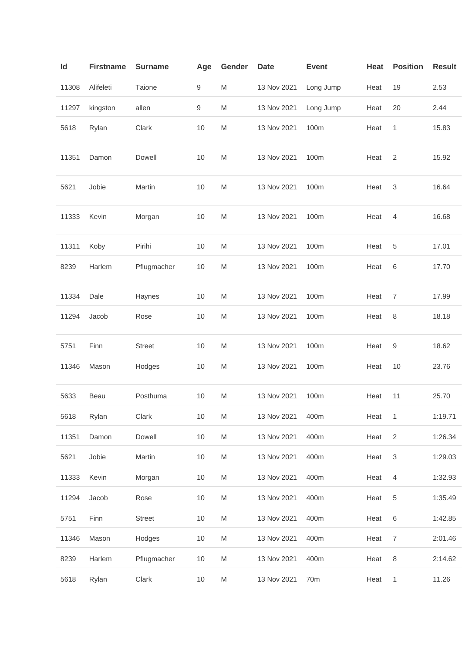| Id    | <b>Firstname</b> | <b>Surname</b> | Age              | Gender    | <b>Date</b> | <b>Event</b> | Heat | <b>Position</b> | <b>Result</b> |
|-------|------------------|----------------|------------------|-----------|-------------|--------------|------|-----------------|---------------|
| 11308 | Alifeleti        | Taione         | 9                | M         | 13 Nov 2021 | Long Jump    | Heat | 19              | 2.53          |
| 11297 | kingston         | allen          | $\boldsymbol{9}$ | M         | 13 Nov 2021 | Long Jump    | Heat | 20              | 2.44          |
| 5618  | Rylan            | Clark          | 10               | ${\sf M}$ | 13 Nov 2021 | 100m         | Heat | 1               | 15.83         |
| 11351 | Damon            | Dowell         | $10$             | ${\sf M}$ | 13 Nov 2021 | 100m         | Heat | $\overline{2}$  | 15.92         |
| 5621  | Jobie            | Martin         | 10               | M         | 13 Nov 2021 | 100m         | Heat | $\mathsf 3$     | 16.64         |
| 11333 | Kevin            | Morgan         | 10               | M         | 13 Nov 2021 | 100m         | Heat | $\overline{4}$  | 16.68         |
| 11311 | Koby             | Pirihi         | 10               | ${\sf M}$ | 13 Nov 2021 | 100m         | Heat | 5               | 17.01         |
| 8239  | Harlem           | Pflugmacher    | 10               | ${\sf M}$ | 13 Nov 2021 | 100m         | Heat | 6               | 17.70         |
| 11334 | Dale             | Haynes         | 10               | M         | 13 Nov 2021 | 100m         | Heat | $\overline{7}$  | 17.99         |
| 11294 | Jacob            | Rose           | 10               | M         | 13 Nov 2021 | 100m         | Heat | 8               | 18.18         |
| 5751  | Finn             | <b>Street</b>  | 10               | M         | 13 Nov 2021 | 100m         | Heat | 9               | 18.62         |
| 11346 | Mason            | Hodges         | 10               | M         | 13 Nov 2021 | 100m         | Heat | 10              | 23.76         |
| 5633  | Beau             | Posthuma       | 10               | M         | 13 Nov 2021 | 100m         | Heat | 11              | 25.70         |
| 5618  | Rylan            | Clark          | 10               | M         | 13 Nov 2021 | 400m         | Heat | 1               | 1:19.71       |
| 11351 | Damon            | Dowell         | 10               | M         | 13 Nov 2021 | 400m         | Heat | $\overline{2}$  | 1:26.34       |
| 5621  | Jobie            | Martin         | 10               | M         | 13 Nov 2021 | 400m         | Heat | 3               | 1:29.03       |
| 11333 | Kevin            | Morgan         | 10               | ${\sf M}$ | 13 Nov 2021 | 400m         | Heat | $\overline{4}$  | 1:32.93       |
| 11294 | Jacob            | Rose           | 10               | ${\sf M}$ | 13 Nov 2021 | 400m         | Heat | 5               | 1:35.49       |
| 5751  | Finn             | <b>Street</b>  | 10               | M         | 13 Nov 2021 | 400m         | Heat | $\,6\,$         | 1:42.85       |
| 11346 | Mason            | Hodges         | 10               | M         | 13 Nov 2021 | 400m         | Heat | 7               | 2:01.46       |
| 8239  | Harlem           | Pflugmacher    | 10               | M         | 13 Nov 2021 | 400m         | Heat | 8               | 2:14.62       |
| 5618  | Rylan            | Clark          | $10$             | M         | 13 Nov 2021 | 70m          | Heat | $\mathbf{1}$    | 11.26         |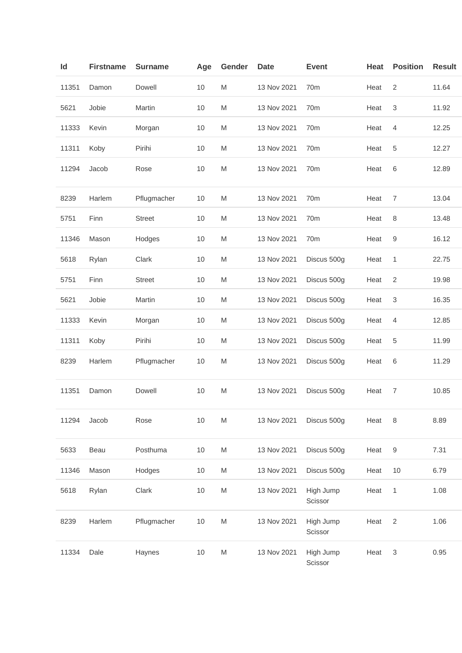| Id    | <b>Firstname</b> | <b>Surname</b> | Age  | Gender    | <b>Date</b> | <b>Event</b>         | Heat | <b>Position</b> | <b>Result</b> |
|-------|------------------|----------------|------|-----------|-------------|----------------------|------|-----------------|---------------|
| 11351 | Damon            | Dowell         | 10   | M         | 13 Nov 2021 | 70 <sub>m</sub>      | Heat | 2               | 11.64         |
| 5621  | Jobie            | Martin         | 10   | M         | 13 Nov 2021 | 70m                  | Heat | 3               | 11.92         |
| 11333 | Kevin            | Morgan         | 10   | M         | 13 Nov 2021 | 70m                  | Heat | $\overline{4}$  | 12.25         |
| 11311 | Koby             | Pirihi         | 10   | M         | 13 Nov 2021 | 70m                  | Heat | 5               | 12.27         |
| 11294 | Jacob            | Rose           | 10   | M         | 13 Nov 2021 | 70 <sub>m</sub>      | Heat | $\,6$           | 12.89         |
| 8239  | Harlem           | Pflugmacher    | 10   | M         | 13 Nov 2021 | 70m                  | Heat | $\overline{7}$  | 13.04         |
| 5751  | Finn             | <b>Street</b>  | 10   | M         | 13 Nov 2021 | 70m                  | Heat | 8               | 13.48         |
| 11346 | Mason            | Hodges         | 10   | M         | 13 Nov 2021 | 70m                  | Heat | 9               | 16.12         |
| 5618  | Rylan            | Clark          | 10   | M         | 13 Nov 2021 | Discus 500g          | Heat | 1               | 22.75         |
| 5751  | Finn             | <b>Street</b>  | 10   | M         | 13 Nov 2021 | Discus 500g          | Heat | $\overline{2}$  | 19.98         |
| 5621  | Jobie            | Martin         | 10   | M         | 13 Nov 2021 | Discus 500g          | Heat | 3               | 16.35         |
| 11333 | Kevin            | Morgan         | 10   | M         | 13 Nov 2021 | Discus 500g          | Heat | 4               | 12.85         |
| 11311 | Koby             | Pirihi         | 10   | M         | 13 Nov 2021 | Discus 500g          | Heat | 5               | 11.99         |
| 8239  | Harlem           | Pflugmacher    | 10   | M         | 13 Nov 2021 | Discus 500g          | Heat | 6               | 11.29         |
| 11351 | Damon            | Dowell         | 10   | M         | 13 Nov 2021 | Discus 500g          | Heat | 7               | 10.85         |
| 11294 | Jacob            | Rose           | 10   | ${\sf M}$ | 13 Nov 2021 | Discus 500g          | Heat | $\,8\,$         | 8.89          |
| 5633  | Beau             | Posthuma       | 10   | M         | 13 Nov 2021 | Discus 500g          | Heat | 9               | 7.31          |
| 11346 | Mason            | Hodges         | 10   | M         | 13 Nov 2021 | Discus 500g          | Heat | 10              | 6.79          |
| 5618  | Rylan            | Clark          | $10$ | ${\sf M}$ | 13 Nov 2021 | High Jump<br>Scissor | Heat | 1               | 1.08          |
| 8239  | Harlem           | Pflugmacher    | 10   | ${\sf M}$ | 13 Nov 2021 | High Jump<br>Scissor | Heat | $\sqrt{2}$      | 1.06          |
| 11334 | Dale             | Haynes         | 10   | ${\sf M}$ | 13 Nov 2021 | High Jump<br>Scissor | Heat | 3               | 0.95          |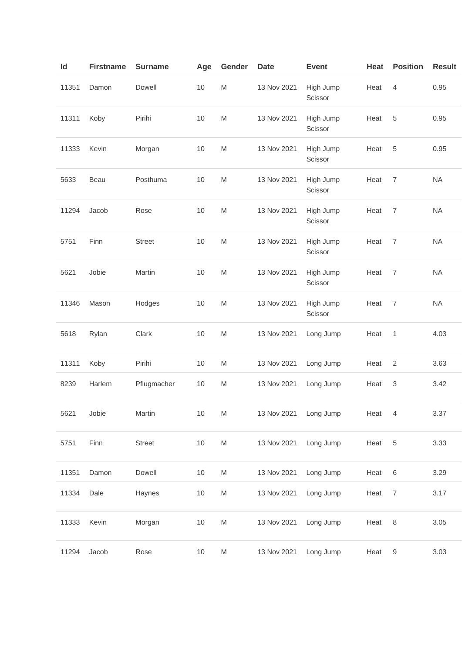| $\mathsf{Id}$ | <b>Firstname</b> | <b>Surname</b> | Age  | Gender                                                                                                     | <b>Date</b> | <b>Event</b>         | <b>Heat</b> | <b>Position</b> | <b>Result</b> |
|---------------|------------------|----------------|------|------------------------------------------------------------------------------------------------------------|-------------|----------------------|-------------|-----------------|---------------|
| 11351         | Damon            | Dowell         | 10   | $\mathsf{M}% _{T}=\mathsf{M}_{T}\!\left( a,b\right) ,\ \mathsf{M}_{T}=\mathsf{M}_{T}\!\left( a,b\right) ,$ | 13 Nov 2021 | High Jump<br>Scissor | Heat        | $\overline{4}$  | 0.95          |
| 11311         | Koby             | Pirihi         | 10   | $\mathsf{M}% _{T}=\mathsf{M}_{T}\!\left( a,b\right) ,\ \mathsf{M}_{T}=\mathsf{M}_{T}\!\left( a,b\right) ,$ | 13 Nov 2021 | High Jump<br>Scissor | Heat        | 5               | 0.95          |
| 11333         | Kevin            | Morgan         | 10   | $\mathsf{M}% _{T}=\mathsf{M}_{T}\!\left( a,b\right) ,\ \mathsf{M}_{T}=\mathsf{M}_{T}\!\left( a,b\right) ,$ | 13 Nov 2021 | High Jump<br>Scissor | Heat        | 5               | 0.95          |
| 5633          | Beau             | Posthuma       | 10   | $\mathsf{M}% _{T}=\mathsf{M}_{T}\!\left( a,b\right) ,\ \mathsf{M}_{T}=\mathsf{M}_{T}\!\left( a,b\right) ,$ | 13 Nov 2021 | High Jump<br>Scissor | Heat        | $\overline{7}$  | <b>NA</b>     |
| 11294         | Jacob            | Rose           | 10   | $\mathsf{M}% _{T}=\mathsf{M}_{T}\!\left( a,b\right) ,\ \mathsf{M}_{T}=\mathsf{M}_{T}\!\left( a,b\right) ,$ | 13 Nov 2021 | High Jump<br>Scissor | Heat        | $\overline{7}$  | <b>NA</b>     |
| 5751          | Finn             | <b>Street</b>  | 10   | $\mathsf{M}% _{T}=\mathsf{M}_{T}\!\left( a,b\right) ,\ \mathsf{M}_{T}=\mathsf{M}_{T}\!\left( a,b\right) ,$ | 13 Nov 2021 | High Jump<br>Scissor | Heat        | $\overline{7}$  | <b>NA</b>     |
| 5621          | Jobie            | Martin         | 10   | $\mathsf{M}% _{T}=\mathsf{M}_{T}\!\left( a,b\right) ,\ \mathsf{M}_{T}=\mathsf{M}_{T}\!\left( a,b\right) ,$ | 13 Nov 2021 | High Jump<br>Scissor | Heat        | $\overline{7}$  | <b>NA</b>     |
| 11346         | Mason            | Hodges         | 10   | $\mathsf{M}% _{T}=\mathsf{M}_{T}\!\left( a,b\right) ,\ \mathsf{M}_{T}=\mathsf{M}_{T}\!\left( a,b\right) ,$ | 13 Nov 2021 | High Jump<br>Scissor | Heat        | $\overline{7}$  | <b>NA</b>     |
| 5618          | Rylan            | Clark          | 10   | $\mathsf{M}% _{T}=\mathsf{M}_{T}\!\left( a,b\right) ,\ \mathsf{M}_{T}=\mathsf{M}_{T}\!\left( a,b\right) ,$ | 13 Nov 2021 | Long Jump            | Heat        | 1               | 4.03          |
| 11311         | Koby             | Pirihi         | 10   | M                                                                                                          | 13 Nov 2021 | Long Jump            | Heat        | $\overline{2}$  | 3.63          |
| 8239          | Harlem           | Pflugmacher    | $10$ | M                                                                                                          | 13 Nov 2021 | Long Jump            | Heat        | 3               | 3.42          |
| 5621          | Jobie            | Martin         | $10$ | ${\sf M}$                                                                                                  | 13 Nov 2021 | Long Jump            | Heat        | 4               | 3.37          |
| 5751          | Finn             | <b>Street</b>  | $10$ | $\mathsf{M}% _{T}=\mathsf{M}_{T}\!\left( a,b\right) ,\ \mathsf{M}_{T}=\mathsf{M}_{T}\!\left( a,b\right) ,$ | 13 Nov 2021 | Long Jump            | Heat        | $\sqrt{5}$      | 3.33          |
| 11351         | Damon            | Dowell         | $10$ | M                                                                                                          | 13 Nov 2021 | Long Jump            | Heat        | $\,6\,$         | 3.29          |
| 11334         | Dale             | Haynes         | 10   | M                                                                                                          | 13 Nov 2021 | Long Jump            | Heat        | 7               | 3.17          |
| 11333         | Kevin            | Morgan         | $10$ | $\mathsf{M}% _{T}=\mathsf{M}_{T}\!\left( a,b\right) ,\ \mathsf{M}_{T}=\mathsf{M}_{T}\!\left( a,b\right) ,$ | 13 Nov 2021 | Long Jump            | Heat        | $\,8\,$         | 3.05          |
| 11294         | Jacob            | Rose           | $10$ | ${\sf M}$                                                                                                  | 13 Nov 2021 | Long Jump            | Heat        | 9               | 3.03          |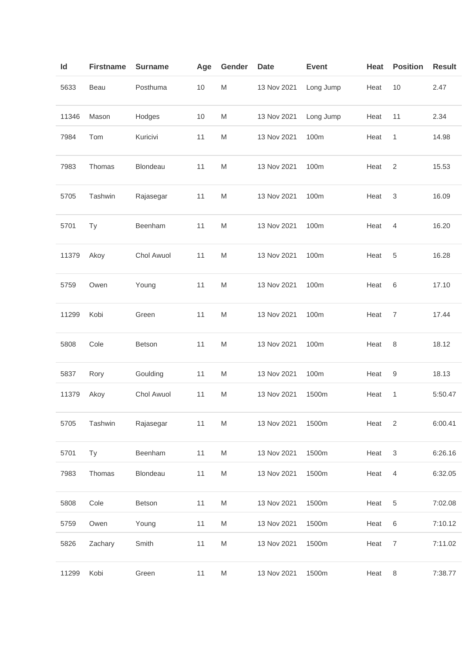| ld    | <b>Firstname</b> | <b>Surname</b> | Age  | Gender                                                                                                     | <b>Date</b> | <b>Event</b> | Heat | <b>Position</b>           | <b>Result</b> |
|-------|------------------|----------------|------|------------------------------------------------------------------------------------------------------------|-------------|--------------|------|---------------------------|---------------|
| 5633  | Beau             | Posthuma       | $10$ | M                                                                                                          | 13 Nov 2021 | Long Jump    | Heat | 10                        | 2.47          |
| 11346 | Mason            | Hodges         | $10$ | M                                                                                                          | 13 Nov 2021 | Long Jump    | Heat | 11                        | 2.34          |
| 7984  | Tom              | Kuricivi       | 11   | M                                                                                                          | 13 Nov 2021 | 100m         | Heat | $\mathbf{1}$              | 14.98         |
| 7983  | Thomas           | Blondeau       | 11   | M                                                                                                          | 13 Nov 2021 | 100m         | Heat | 2                         | 15.53         |
| 5705  | Tashwin          | Rajasegar      | 11   | M                                                                                                          | 13 Nov 2021 | 100m         | Heat | 3                         | 16.09         |
| 5701  | <b>Ty</b>        | Beenham        | 11   | M                                                                                                          | 13 Nov 2021 | 100m         | Heat | 4                         | 16.20         |
| 11379 | Akoy             | Chol Awuol     | 11   | M                                                                                                          | 13 Nov 2021 | 100m         | Heat | 5                         | 16.28         |
| 5759  | Owen             | Young          | 11   | M                                                                                                          | 13 Nov 2021 | 100m         | Heat | 6                         | 17.10         |
| 11299 | Kobi             | Green          | 11   | $\mathsf{M}% _{T}=\mathsf{M}_{T}\!\left( a,b\right) ,\ \mathsf{M}_{T}=\mathsf{M}_{T}\!\left( a,b\right) ,$ | 13 Nov 2021 | 100m         | Heat | $\overline{7}$            | 17.44         |
| 5808  | Cole             | Betson         | 11   | M                                                                                                          | 13 Nov 2021 | 100m         | Heat | 8                         | 18.12         |
| 5837  | Rory             | Goulding       | 11   | M                                                                                                          | 13 Nov 2021 | 100m         | Heat | 9                         | 18.13         |
| 11379 | Akoy             | Chol Awuol     | 11   | M                                                                                                          | 13 Nov 2021 | 1500m        | Heat | 1                         | 5:50.47       |
| 5705  | Tashwin          | Rajasegar      | 11   | ${\sf M}$                                                                                                  | 13 Nov 2021 | 1500m        | Heat | $\overline{2}$            | 6:00.41       |
| 5701  | Ty               | Beenham        | 11   | M                                                                                                          | 13 Nov 2021 | 1500m        | Heat | $\ensuremath{\mathsf{3}}$ | 6:26.16       |
| 7983  | Thomas           | Blondeau       | 11   | M                                                                                                          | 13 Nov 2021 | 1500m        | Heat | $\overline{4}$            | 6:32.05       |
| 5808  | Cole             | Betson         | 11   | M                                                                                                          | 13 Nov 2021 | 1500m        | Heat | $\,$ 5 $\,$               | 7:02.08       |
| 5759  | Owen             | Young          | 11   | M                                                                                                          | 13 Nov 2021 | 1500m        | Heat | $\,6\,$                   | 7:10.12       |
| 5826  | Zachary          | Smith          | 11   | M                                                                                                          | 13 Nov 2021 | 1500m        | Heat | $\overline{7}$            | 7:11.02       |
| 11299 | Kobi             | Green          | 11   | M                                                                                                          | 13 Nov 2021 | 1500m        | Heat | 8                         | 7:38.77       |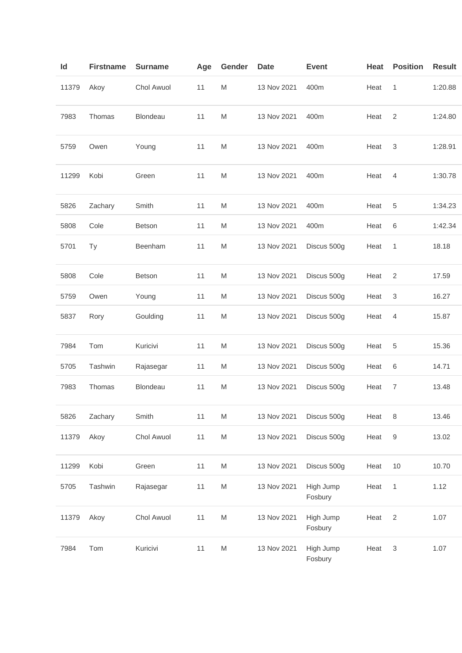| ld    | <b>Firstname</b> | <b>Surname</b> | Age | Gender                                                                                                     | <b>Date</b> | <b>Event</b>         | Heat | <b>Position</b>           | <b>Result</b> |
|-------|------------------|----------------|-----|------------------------------------------------------------------------------------------------------------|-------------|----------------------|------|---------------------------|---------------|
| 11379 | Akoy             | Chol Awuol     | 11  | $\mathsf{M}% _{T}=\mathsf{M}_{T}\!\left( a,b\right) ,\ \mathsf{M}_{T}=\mathsf{M}_{T}\!\left( a,b\right) ,$ | 13 Nov 2021 | 400m                 | Heat | $\mathbf{1}$              | 1:20.88       |
| 7983  | Thomas           | Blondeau       | 11  | $\mathsf{M}% _{T}=\mathsf{M}_{T}\!\left( a,b\right) ,\ \mathsf{M}_{T}=\mathsf{M}_{T}\!\left( a,b\right) ,$ | 13 Nov 2021 | 400m                 | Heat | $\overline{2}$            | 1:24.80       |
| 5759  | Owen             | Young          | 11  | M                                                                                                          | 13 Nov 2021 | 400m                 | Heat | 3                         | 1:28.91       |
| 11299 | Kobi             | Green          | 11  | M                                                                                                          | 13 Nov 2021 | 400m                 | Heat | 4                         | 1:30.78       |
| 5826  | Zachary          | Smith          | 11  | M                                                                                                          | 13 Nov 2021 | 400m                 | Heat | 5                         | 1:34.23       |
| 5808  | Cole             | Betson         | 11  | M                                                                                                          | 13 Nov 2021 | 400m                 | Heat | 6                         | 1:42.34       |
| 5701  | Ty               | Beenham        | 11  | M                                                                                                          | 13 Nov 2021 | Discus 500g          | Heat | 1                         | 18.18         |
| 5808  | Cole             | Betson         | 11  | M                                                                                                          | 13 Nov 2021 | Discus 500g          | Heat | $\overline{2}$            | 17.59         |
| 5759  | Owen             | Young          | 11  | M                                                                                                          | 13 Nov 2021 | Discus 500g          | Heat | $\sqrt{3}$                | 16.27         |
| 5837  | Rory             | Goulding       | 11  | M                                                                                                          | 13 Nov 2021 | Discus 500g          | Heat | 4                         | 15.87         |
| 7984  | Tom              | Kuricivi       | 11  | M                                                                                                          | 13 Nov 2021 | Discus 500g          | Heat | 5                         | 15.36         |
| 5705  | Tashwin          | Rajasegar      | 11  | M                                                                                                          | 13 Nov 2021 | Discus 500g          | Heat | $\,6$                     | 14.71         |
| 7983  | Thomas           | Blondeau       | 11  | $\mathsf{M}% _{T}=\mathsf{M}_{T}\!\left( a,b\right) ,\ \mathsf{M}_{T}=\mathsf{M}_{T}\!\left( a,b\right) ,$ | 13 Nov 2021 | Discus 500g          | Heat | $\overline{7}$            | 13.48         |
| 5826  | Zachary          | Smith          | 11  | M                                                                                                          | 13 Nov 2021 | Discus 500g          | Heat | $\,8\,$                   | 13.46         |
| 11379 | Akoy             | Chol Awuol     | 11  | M                                                                                                          | 13 Nov 2021 | Discus 500g          | Heat | 9                         | 13.02         |
| 11299 | Kobi             | Green          | 11  | M                                                                                                          | 13 Nov 2021 | Discus 500g          | Heat | 10                        | 10.70         |
| 5705  | Tashwin          | Rajasegar      | 11  | $\mathsf{M}% _{T}=\mathsf{M}_{T}\!\left( a,b\right) ,\ \mathsf{M}_{T}=\mathsf{M}_{T}\!\left( a,b\right) ,$ | 13 Nov 2021 | High Jump<br>Fosbury | Heat | $\mathbf{1}$              | 1.12          |
| 11379 | Akoy             | Chol Awuol     | 11  | M                                                                                                          | 13 Nov 2021 | High Jump<br>Fosbury | Heat | $\overline{2}$            | 1.07          |
| 7984  | Tom              | Kuricivi       | 11  | $\mathsf{M}% _{T}=\mathsf{M}_{T}\!\left( a,b\right) ,\ \mathsf{M}_{T}=\mathsf{M}_{T}\!\left( a,b\right) ,$ | 13 Nov 2021 | High Jump<br>Fosbury | Heat | $\ensuremath{\mathsf{3}}$ | 1.07          |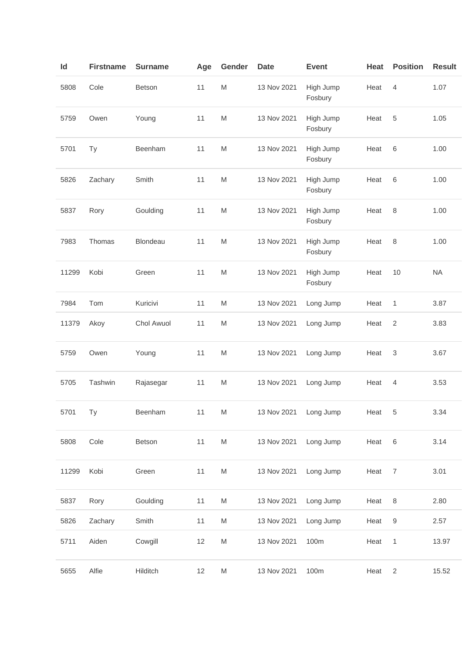| ld    | <b>Firstname</b> | <b>Surname</b> | Age | Gender                                                                                                     | <b>Date</b>           | <b>Event</b>         | Heat | <b>Position</b>  | <b>Result</b> |
|-------|------------------|----------------|-----|------------------------------------------------------------------------------------------------------------|-----------------------|----------------------|------|------------------|---------------|
| 5808  | Cole             | Betson         | 11  | $\mathsf{M}% _{T}=\mathsf{M}_{T}\!\left( a,b\right) ,\ \mathsf{M}_{T}=\mathsf{M}_{T}\!\left( a,b\right) ,$ | 13 Nov 2021           | High Jump<br>Fosbury | Heat | $\overline{4}$   | 1.07          |
| 5759  | Owen             | Young          | 11  | $\mathsf{M}% _{T}=\mathsf{M}_{T}\!\left( a,b\right) ,\ \mathsf{M}_{T}=\mathsf{M}_{T}\!\left( a,b\right) ,$ | 13 Nov 2021           | High Jump<br>Fosbury | Heat | 5                | 1.05          |
| 5701  | Ty               | Beenham        | 11  | M                                                                                                          | 13 Nov 2021           | High Jump<br>Fosbury | Heat | 6                | 1.00          |
| 5826  | Zachary          | Smith          | 11  | M                                                                                                          | 13 Nov 2021           | High Jump<br>Fosbury | Heat | 6                | 1.00          |
| 5837  | Rory             | Goulding       | 11  | $\mathsf{M}% _{T}=\mathsf{M}_{T}\!\left( a,b\right) ,\ \mathsf{M}_{T}=\mathsf{M}_{T}\!\left( a,b\right) ,$ | 13 Nov 2021           | High Jump<br>Fosbury | Heat | 8                | 1.00          |
| 7983  | Thomas           | Blondeau       | 11  | $\mathsf{M}% _{T}=\mathsf{M}_{T}\!\left( a,b\right) ,\ \mathsf{M}_{T}=\mathsf{M}_{T}\!\left( a,b\right) ,$ | 13 Nov 2021           | High Jump<br>Fosbury | Heat | 8                | 1.00          |
| 11299 | Kobi             | Green          | 11  | M                                                                                                          | 13 Nov 2021           | High Jump<br>Fosbury | Heat | 10               | <b>NA</b>     |
| 7984  | Tom              | Kuricivi       | 11  | $\mathsf{M}% _{T}=\mathsf{M}_{T}\!\left( a,b\right) ,\ \mathsf{M}_{T}=\mathsf{M}_{T}\!\left( a,b\right) ,$ | 13 Nov 2021           | Long Jump            | Heat | 1                | 3.87          |
| 11379 | Akoy             | Chol Awuol     | 11  | M                                                                                                          | 13 Nov 2021           | Long Jump            | Heat | $\sqrt{2}$       | 3.83          |
| 5759  | Owen             | Young          | 11  | M                                                                                                          | 13 Nov 2021           | Long Jump            | Heat | 3                | 3.67          |
| 5705  | Tashwin          | Rajasegar      | 11  | M                                                                                                          | 13 Nov 2021           | Long Jump            | Heat | 4                | 3.53          |
| 5701  | <b>Ty</b>        | Beenham        | 11  | ${\sf M}$                                                                                                  | 13 Nov 2021 Long Jump |                      | Heat | $-5$             | 3.34          |
| 5808  | Cole             | Betson         | 11  | $\mathsf{M}% _{T}=\mathsf{M}_{T}\!\left( a,b\right) ,\ \mathsf{M}_{T}=\mathsf{M}_{T}\!\left( a,b\right) ,$ | 13 Nov 2021           | Long Jump            | Heat | $\,6\,$          | 3.14          |
| 11299 | Kobi             | Green          | 11  | ${\sf M}$                                                                                                  | 13 Nov 2021           | Long Jump            | Heat | $\overline{7}$   | 3.01          |
| 5837  | Rory             | Goulding       | 11  | M                                                                                                          | 13 Nov 2021           | Long Jump            | Heat | $\,8\,$          | 2.80          |
| 5826  | Zachary          | Smith          | 11  | M                                                                                                          | 13 Nov 2021           | Long Jump            | Heat | $\boldsymbol{9}$ | 2.57          |
| 5711  | Aiden            | Cowgill        | 12  | ${\sf M}$                                                                                                  | 13 Nov 2021           | 100m                 | Heat | $\mathbf{1}$     | 13.97         |
| 5655  | Alfie            | Hilditch       | 12  | M                                                                                                          | 13 Nov 2021           | 100m                 | Heat | $\overline{2}$   | 15.52         |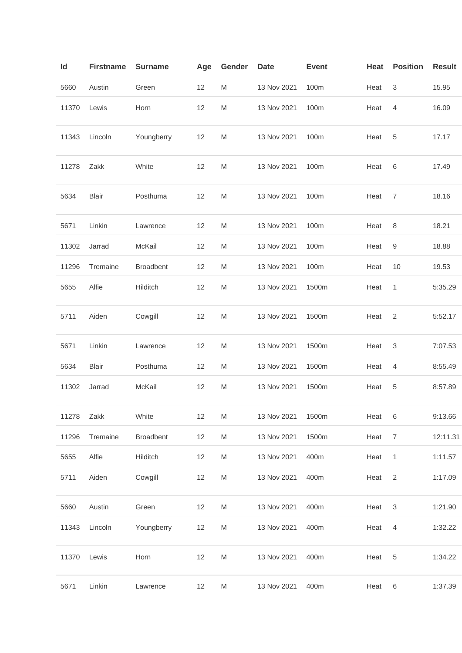| ld    | <b>Firstname</b> | <b>Surname</b>   | Age | Gender                                                                                                     | Date        | <b>Event</b> | Heat | <b>Position</b> | <b>Result</b> |
|-------|------------------|------------------|-----|------------------------------------------------------------------------------------------------------------|-------------|--------------|------|-----------------|---------------|
| 5660  | Austin           | Green            | 12  | M                                                                                                          | 13 Nov 2021 | 100m         | Heat | 3               | 15.95         |
| 11370 | Lewis            | Horn             | 12  | M                                                                                                          | 13 Nov 2021 | 100m         | Heat | $\overline{4}$  | 16.09         |
| 11343 | Lincoln          | Youngberry       | 12  | M                                                                                                          | 13 Nov 2021 | 100m         | Heat | 5               | 17.17         |
| 11278 | Zakk             | White            | 12  | M                                                                                                          | 13 Nov 2021 | 100m         | Heat | 6               | 17.49         |
| 5634  | <b>Blair</b>     | Posthuma         | 12  | M                                                                                                          | 13 Nov 2021 | 100m         | Heat | 7               | 18.16         |
| 5671  | Linkin           | Lawrence         | 12  | M                                                                                                          | 13 Nov 2021 | 100m         | Heat | $\,8\,$         | 18.21         |
| 11302 | Jarrad           | McKail           | 12  | M                                                                                                          | 13 Nov 2021 | 100m         | Heat | 9               | 18.88         |
| 11296 | Tremaine         | <b>Broadbent</b> | 12  | M                                                                                                          | 13 Nov 2021 | 100m         | Heat | 10              | 19.53         |
| 5655  | Alfie            | Hilditch         | 12  | M                                                                                                          | 13 Nov 2021 | 1500m        | Heat | 1               | 5:35.29       |
| 5711  | Aiden            | Cowgill          | 12  | M                                                                                                          | 13 Nov 2021 | 1500m        | Heat | 2               | 5:52.17       |
| 5671  | Linkin           | Lawrence         | 12  | M                                                                                                          | 13 Nov 2021 | 1500m        | Heat | 3               | 7:07.53       |
| 5634  | <b>Blair</b>     | Posthuma         | 12  | M                                                                                                          | 13 Nov 2021 | 1500m        | Heat | 4               | 8:55.49       |
| 11302 | Jarrad           | McKail           | 12  | $\mathsf{M}% _{T}=\mathsf{M}_{T}\!\left( a,b\right) ,\ \mathsf{M}_{T}=\mathsf{M}_{T}\!\left( a,b\right) ,$ | 13 Nov 2021 | 1500m        | Heat | 5               | 8:57.89       |
| 11278 | Zakk             | White            | 12  | M                                                                                                          | 13 Nov 2021 | 1500m        | Heat | 6               | 9:13.66       |
| 11296 | Tremaine         | <b>Broadbent</b> | 12  | M                                                                                                          | 13 Nov 2021 | 1500m        | Heat | $\overline{7}$  | 12:11.31      |
| 5655  | Alfie            | Hilditch         | 12  | M                                                                                                          | 13 Nov 2021 | 400m         | Heat | $\mathbf{1}$    | 1:11.57       |
| 5711  | Aiden            | Cowgill          | 12  | M                                                                                                          | 13 Nov 2021 | 400m         | Heat | 2               | 1:17.09       |
| 5660  | Austin           | Green            | 12  | M                                                                                                          | 13 Nov 2021 | 400m         | Heat | $\mathbf{3}$    | 1:21.90       |
| 11343 | Lincoln          | Youngberry       | 12  | M                                                                                                          | 13 Nov 2021 | 400m         | Heat | $\overline{4}$  | 1:32.22       |
| 11370 | Lewis            | Horn             | 12  | M                                                                                                          | 13 Nov 2021 | 400m         | Heat | $\,$ 5 $\,$     | 1:34.22       |
| 5671  | Linkin           | Lawrence         | 12  | M                                                                                                          | 13 Nov 2021 | 400m         | Heat | 6               | 1:37.39       |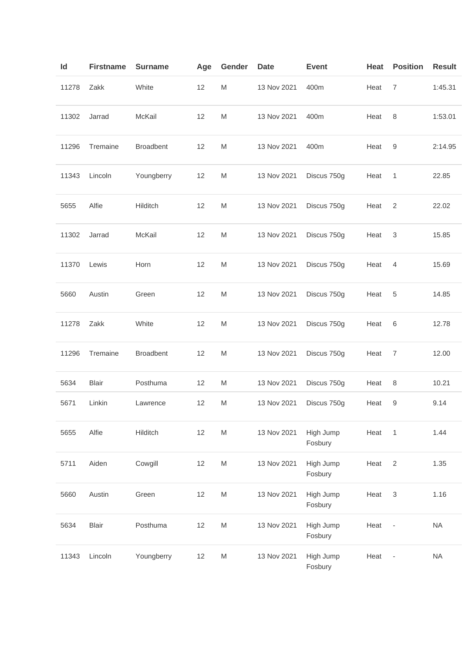| ld    | <b>Firstname</b> | <b>Surname</b>   | Age | Gender                                                                                                     | Date        | <b>Event</b>         | Heat | <b>Position</b>          | <b>Result</b> |
|-------|------------------|------------------|-----|------------------------------------------------------------------------------------------------------------|-------------|----------------------|------|--------------------------|---------------|
| 11278 | Zakk             | White            | 12  | M                                                                                                          | 13 Nov 2021 | 400m                 | Heat | 7                        | 1:45.31       |
| 11302 | Jarrad           | McKail           | 12  | M                                                                                                          | 13 Nov 2021 | 400m                 | Heat | 8                        | 1:53.01       |
| 11296 | Tremaine         | <b>Broadbent</b> | 12  | M                                                                                                          | 13 Nov 2021 | 400m                 | Heat | 9                        | 2:14.95       |
| 11343 | Lincoln          | Youngberry       | 12  | M                                                                                                          | 13 Nov 2021 | Discus 750g          | Heat | $\mathbf{1}$             | 22.85         |
| 5655  | Alfie            | Hilditch         | 12  | M                                                                                                          | 13 Nov 2021 | Discus 750g          | Heat | 2                        | 22.02         |
| 11302 | Jarrad           | McKail           | 12  | M                                                                                                          | 13 Nov 2021 | Discus 750g          | Heat | 3                        | 15.85         |
| 11370 | Lewis            | Horn             | 12  | M                                                                                                          | 13 Nov 2021 | Discus 750g          | Heat | $\overline{4}$           | 15.69         |
| 5660  | Austin           | Green            | 12  | M                                                                                                          | 13 Nov 2021 | Discus 750g          | Heat | 5                        | 14.85         |
| 11278 | Zakk             | White            | 12  | M                                                                                                          | 13 Nov 2021 | Discus 750g          | Heat | $\,6$                    | 12.78         |
| 11296 | Tremaine         | <b>Broadbent</b> | 12  | M                                                                                                          | 13 Nov 2021 | Discus 750g          | Heat | $\overline{7}$           | 12.00         |
| 5634  | <b>Blair</b>     | Posthuma         | 12  | M                                                                                                          | 13 Nov 2021 | Discus 750g          | Heat | 8                        | 10.21         |
| 5671  | Linkin           | Lawrence         | 12  | M                                                                                                          | 13 Nov 2021 | Discus 750g          | Heat | 9                        | 9.14          |
| 5655  | Alfie            | Hilditch         | 12  | $\mathsf{M}% _{T}=\mathsf{M}_{T}\!\left( a,b\right) ,\ \mathsf{M}_{T}=\mathsf{M}_{T}\!\left( a,b\right) ,$ | 13 Nov 2021 | High Jump<br>Fosbury | Heat | $\mathbf{1}$             | 1.44          |
| 5711  | Aiden            | Cowgill          | 12  | $\mathsf{M}% _{T}=\mathsf{M}_{T}\!\left( a,b\right) ,\ \mathsf{M}_{T}=\mathsf{M}_{T}$                      | 13 Nov 2021 | High Jump<br>Fosbury | Heat | 2                        | 1.35          |
| 5660  | Austin           | Green            | 12  | $\mathsf{M}% _{T}=\mathsf{M}_{T}\!\left( a,b\right) ,\ \mathsf{M}_{T}=\mathsf{M}_{T}$                      | 13 Nov 2021 | High Jump<br>Fosbury | Heat | $\sqrt{3}$               | 1.16          |
| 5634  | <b>Blair</b>     | Posthuma         | 12  | $\mathsf{M}% _{T}=\mathsf{M}_{T}\!\left( a,b\right) ,\ \mathsf{M}_{T}=\mathsf{M}_{T}$                      | 13 Nov 2021 | High Jump<br>Fosbury | Heat | $\overline{\phantom{a}}$ | <b>NA</b>     |
| 11343 | Lincoln          | Youngberry       | 12  | M                                                                                                          | 13 Nov 2021 | High Jump<br>Fosbury | Heat | $\overline{\phantom{a}}$ | <b>NA</b>     |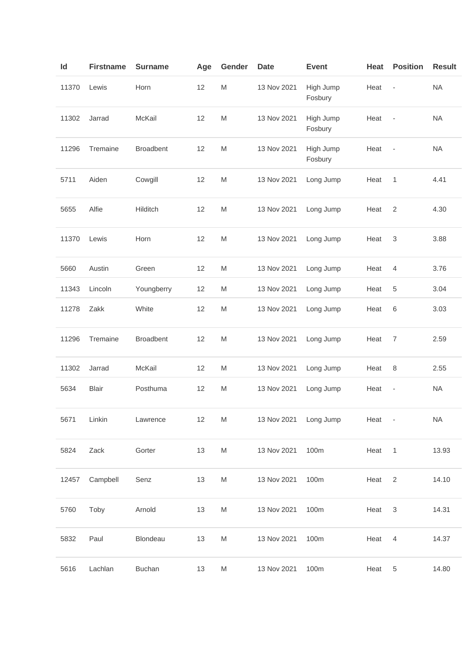| Id   |       | <b>Firstname</b> | <b>Surname</b>   | Age | Gender                                                                                                     | <b>Date</b>           | <b>Event</b>         | Heat   | <b>Position</b>          | <b>Result</b> |
|------|-------|------------------|------------------|-----|------------------------------------------------------------------------------------------------------------|-----------------------|----------------------|--------|--------------------------|---------------|
|      | 11370 | Lewis            | Horn             | 12  | $\mathsf{M}% _{T}=\mathsf{M}_{T}\!\left( a,b\right) ,\ \mathsf{M}_{T}=\mathsf{M}_{T}$                      | 13 Nov 2021           | High Jump<br>Fosbury | Heat   | $\blacksquare$           | <b>NA</b>     |
|      | 11302 | Jarrad           | McKail           | 12  | $\mathsf{M}% _{T}=\mathsf{M}_{T}\!\left( a,b\right) ,\ \mathsf{M}_{T}=\mathsf{M}_{T}$                      | 13 Nov 2021           | High Jump<br>Fosbury | Heat   | $\blacksquare$           | <b>NA</b>     |
|      | 11296 | Tremaine         | <b>Broadbent</b> | 12  | $\mathsf{M}% _{T}=\mathsf{M}_{T}\!\left( a,b\right) ,\ \mathsf{M}_{T}=\mathsf{M}_{T}$                      | 13 Nov 2021           | High Jump<br>Fosbury | Heat   | $\overline{\phantom{a}}$ | <b>NA</b>     |
| 5711 |       | Aiden            | Cowgill          | 12  | M                                                                                                          | 13 Nov 2021           | Long Jump            | Heat   | 1                        | 4.41          |
| 5655 |       | Alfie            | Hilditch         | 12  | M                                                                                                          | 13 Nov 2021           | Long Jump            | Heat   | $\overline{2}$           | 4.30          |
|      | 11370 | Lewis            | Horn             | 12  | $\mathsf{M}% _{T}=\mathsf{M}_{T}\!\left( a,b\right) ,\ \mathsf{M}_{T}=\mathsf{M}_{T}\!\left( a,b\right) ,$ | 13 Nov 2021           | Long Jump            | Heat   | 3                        | 3.88          |
| 5660 |       | Austin           | Green            | 12  | $\mathsf{M}% _{T}=\mathsf{M}_{T}\!\left( a,b\right) ,\ \mathsf{M}_{T}=\mathsf{M}_{T}$                      | 13 Nov 2021           | Long Jump            | Heat   | $\overline{4}$           | 3.76          |
|      | 11343 | Lincoln          | Youngberry       | 12  | M                                                                                                          | 13 Nov 2021           | Long Jump            | Heat   | 5                        | 3.04          |
|      | 11278 | Zakk             | White            | 12  | M                                                                                                          | 13 Nov 2021           | Long Jump            | Heat   | 6                        | 3.03          |
|      | 11296 | Tremaine         | <b>Broadbent</b> | 12  | $\mathsf{M}% _{T}=\mathsf{M}_{T}\!\left( a,b\right) ,\ \mathsf{M}_{T}=\mathsf{M}_{T}\!\left( a,b\right) ,$ | 13 Nov 2021           | Long Jump            | Heat   | $\overline{7}$           | 2.59          |
|      | 11302 | Jarrad           | McKail           | 12  | $\mathsf{M}% _{T}=\mathsf{M}_{T}\!\left( a,b\right) ,\ \mathsf{M}_{T}=\mathsf{M}_{T}$                      | 13 Nov 2021           | Long Jump            | Heat   | 8                        | 2.55          |
| 5634 |       | <b>Blair</b>     | Posthuma         | 12  | $\mathsf{M}% _{T}=\mathsf{M}_{T}\!\left( a,b\right) ,\ \mathsf{M}_{T}=\mathsf{M}_{T}$                      | 13 Nov 2021           | Long Jump            | Heat   | $\overline{\phantom{a}}$ | <b>NA</b>     |
| 5671 |       | Linkin           | Lawrence         | 12  | M                                                                                                          | 13 Nov 2021 Long Jump |                      | Heat - |                          | <b>NA</b>     |
| 5824 |       | Zack             | Gorter           | 13  | M                                                                                                          | 13 Nov 2021           | 100m                 | Heat   | $\overline{1}$           | 13.93         |
|      | 12457 | Campbell         | Senz             | 13  | M                                                                                                          | 13 Nov 2021           | 100m                 | Heat   | 2                        | 14.10         |
| 5760 |       | Toby             | Arnold           | 13  | M                                                                                                          | 13 Nov 2021           | 100m                 | Heat   | 3                        | 14.31         |
| 5832 |       | Paul             | Blondeau         | 13  | M                                                                                                          | 13 Nov 2021           | 100m                 | Heat   | $\overline{4}$           | 14.37         |
| 5616 |       | Lachlan          | <b>Buchan</b>    | 13  | M                                                                                                          | 13 Nov 2021           | 100m                 | Heat   | $\,$ 5 $\,$              | 14.80         |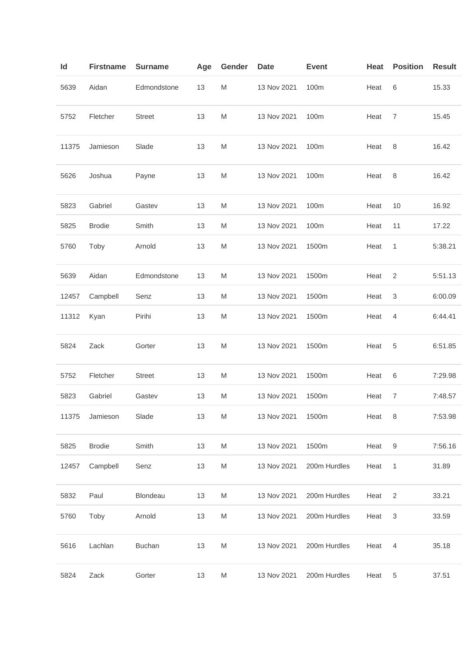| Id    | <b>Firstname</b> | <b>Surname</b>  | Age | Gender | Date        | <b>Event</b> | Heat | <b>Position</b>           | <b>Result</b> |
|-------|------------------|-----------------|-----|--------|-------------|--------------|------|---------------------------|---------------|
| 5639  | Aidan            | Edmondstone     | 13  | M      | 13 Nov 2021 | 100m         | Heat | 6                         | 15.33         |
| 5752  | Fletcher         | <b>Street</b>   | 13  | M      | 13 Nov 2021 | 100m         | Heat | $\overline{7}$            | 15.45         |
| 11375 | Jamieson         | Slade           | 13  | M      | 13 Nov 2021 | 100m         | Heat | 8                         | 16.42         |
| 5626  | Joshua           | Payne           | 13  | M      | 13 Nov 2021 | 100m         | Heat | 8                         | 16.42         |
| 5823  | Gabriel          | Gastev          | 13  | M      | 13 Nov 2021 | 100m         | Heat | 10                        | 16.92         |
| 5825  | <b>Brodie</b>    | Smith           | 13  | M      | 13 Nov 2021 | 100m         | Heat | 11                        | 17.22         |
| 5760  | Toby             | Arnold          | 13  | M      | 13 Nov 2021 | 1500m        | Heat | 1                         | 5:38.21       |
| 5639  | Aidan            | Edmondstone     | 13  | M      | 13 Nov 2021 | 1500m        | Heat | $\sqrt{2}$                | 5:51.13       |
| 12457 | Campbell         | Senz            | 13  | M      | 13 Nov 2021 | 1500m        | Heat | $\ensuremath{\mathsf{3}}$ | 6:00.09       |
| 11312 | Kyan             | Pirihi          | 13  | M      | 13 Nov 2021 | 1500m        | Heat | 4                         | 6:44.41       |
| 5824  | Zack             | Gorter          | 13  | M      | 13 Nov 2021 | 1500m        | Heat | 5                         | 6:51.85       |
| 5752  | Fletcher         | <b>Street</b>   | 13  | M      | 13 Nov 2021 | 1500m        | Heat | 6                         | 7:29.98       |
| 5823  | Gabriel          | Gastev          | 13  | M      | 13 Nov 2021 | 1500m        | Heat | $\overline{7}$            | 7:48.57       |
| 11375 | Jamieson         | Slade           | 13  | M      | 13 Nov 2021 | 1500m        | Heat | 8                         | 7:53.98       |
| 5825  | <b>Brodie</b>    | Smith           | 13  | M      | 13 Nov 2021 | 1500m        | Heat | 9                         | 7:56.16       |
| 12457 | Campbell         | Senz            | 13  | M      | 13 Nov 2021 | 200m Hurdles | Heat | $\mathbf{1}$              | 31.89         |
| 5832  | Paul             | <b>Blondeau</b> | 13  | M      | 13 Nov 2021 | 200m Hurdles | Heat | 2                         | 33.21         |
| 5760  | Toby             | Arnold          | 13  | M      | 13 Nov 2021 | 200m Hurdles | Heat | 3                         | 33.59         |
| 5616  | Lachlan          | <b>Buchan</b>   | 13  | M      | 13 Nov 2021 | 200m Hurdles | Heat | $\overline{4}$            | 35.18         |
| 5824  | Zack             | Gorter          | 13  | M      | 13 Nov 2021 | 200m Hurdles | Heat | 5                         | 37.51         |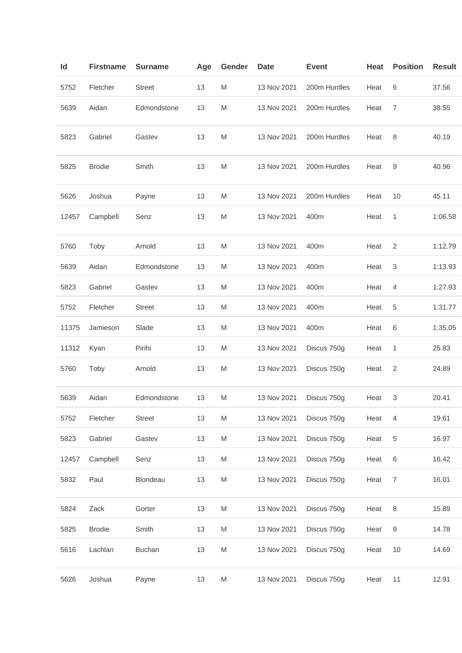| ld    | <b>Firstname</b> | <b>Surname</b> | Age | Gender | <b>Date</b> | <b>Event</b> | <b>Heat</b> | <b>Position</b> | <b>Result</b> |
|-------|------------------|----------------|-----|--------|-------------|--------------|-------------|-----------------|---------------|
| 5752  | Fletcher         | <b>Street</b>  | 13  | M      | 13 Nov 2021 | 200m Hurdles | Heat        | 6               | 37.56         |
| 5639  | Aidan            | Edmondstone    | 13  | M      | 13 Nov 2021 | 200m Hurdles | Heat        | $\overline{7}$  | 38.55         |
| 5823  | Gabriel          | Gastev         | 13  | M      | 13 Nov 2021 | 200m Hurdles | Heat        | 8               | 40.19         |
| 5825  | <b>Brodie</b>    | Smith          | 13  | M      | 13 Nov 2021 | 200m Hurdles | Heat        | 9               | 40.96         |
| 5626  | Joshua           | Payne          | 13  | M      | 13 Nov 2021 | 200m Hurdles | Heat        | 10              | 45.11         |
| 12457 | Campbell         | Senz           | 13  | M      | 13 Nov 2021 | 400m         | Heat        | 1               | 1:06.58       |
| 5760  | Toby             | Arnold         | 13  | M      | 13 Nov 2021 | 400m         | Heat        | 2               | 1:12.79       |
| 5639  | Aidan            | Edmondstone    | 13  | M      | 13 Nov 2021 | 400m         | Heat        | 3               | 1:13.93       |
| 5823  | Gabriel          | Gastev         | 13  | M      | 13 Nov 2021 | 400m         | Heat        | 4               | 1:27.93       |
| 5752  | Fletcher         | <b>Street</b>  | 13  | M      | 13 Nov 2021 | 400m         | Heat        | 5               | 1:31.77       |
| 11375 | Jamieson         | Slade          | 13  | M      | 13 Nov 2021 | 400m         | Heat        | 6               | 1:35.05       |
| 11312 | Kyan             | Pirihi         | 13  | M      | 13 Nov 2021 | Discus 750g  | Heat        | 1               | 25.83         |
| 5760  | Toby             | Arnold         | 13  | M      | 13 Nov 2021 | Discus 750g  | Heat        | 2               | 24.89         |
| 5639  | Aidan            | Edmondstone    | 13  | M      | 13 Nov 2021 | Discus 750g  | Heat        | 3               | 20.41         |
| 5752  | Fletcher         | <b>Street</b>  | 13  | M      | 13 Nov 2021 | Discus 750g  | Heat        | 4               | 19.61         |
| 5823  | Gabriel          | Gastev         | 13  | M      | 13 Nov 2021 | Discus 750g  | Heat        | $\,$ 5 $\,$     | 16.97         |
| 12457 | Campbell         | Senz           | 13  | M      | 13 Nov 2021 | Discus 750g  | Heat        | $6\phantom{1}6$ | 16.42         |
| 5832  | Paul             | Blondeau       | 13  | M      | 13 Nov 2021 | Discus 750g  | Heat        | $\overline{7}$  | 16.01         |
| 5824  | Zack             | Gorter         | 13  | M      | 13 Nov 2021 | Discus 750g  | Heat        | 8               | 15.89         |
| 5825  | <b>Brodie</b>    | Smith          | 13  | M      | 13 Nov 2021 | Discus 750g  | Heat        | 9               | 14.78         |
| 5616  | Lachlan          | <b>Buchan</b>  | 13  | M      | 13 Nov 2021 | Discus 750g  | Heat        | 10              | 14.69         |
| 5626  | Joshua           | Payne          | 13  | M      | 13 Nov 2021 | Discus 750g  | Heat        | 11              | 12.91         |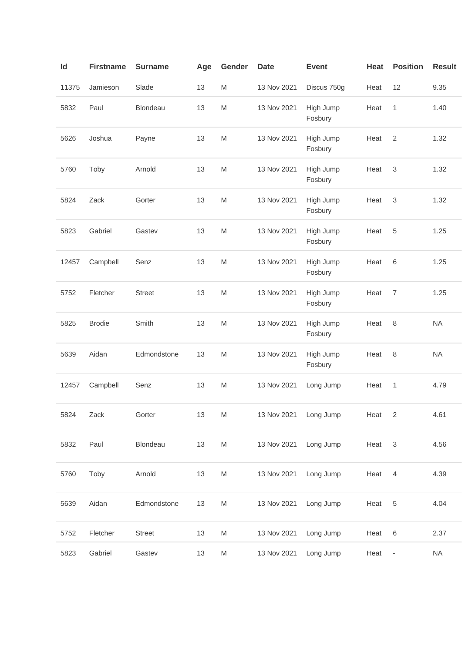| ld    | <b>Firstname</b> | <b>Surname</b>  | Age | Gender    | <b>Date</b> | <b>Event</b>         | Heat | <b>Position</b>          | <b>Result</b> |
|-------|------------------|-----------------|-----|-----------|-------------|----------------------|------|--------------------------|---------------|
| 11375 | Jamieson         | Slade           | 13  | M         | 13 Nov 2021 | Discus 750g          | Heat | 12                       | 9.35          |
| 5832  | Paul             | <b>Blondeau</b> | 13  | M         | 13 Nov 2021 | High Jump<br>Fosbury | Heat | $\mathbf{1}$             | 1.40          |
| 5626  | Joshua           | Payne           | 13  | M         | 13 Nov 2021 | High Jump<br>Fosbury | Heat | $\overline{2}$           | 1.32          |
| 5760  | Toby             | Arnold          | 13  | M         | 13 Nov 2021 | High Jump<br>Fosbury | Heat | 3                        | 1.32          |
| 5824  | Zack             | Gorter          | 13  | M         | 13 Nov 2021 | High Jump<br>Fosbury | Heat | 3                        | 1.32          |
| 5823  | Gabriel          | Gastev          | 13  | M         | 13 Nov 2021 | High Jump<br>Fosbury | Heat | 5                        | 1.25          |
| 12457 | Campbell         | Senz            | 13  | M         | 13 Nov 2021 | High Jump<br>Fosbury | Heat | 6                        | 1.25          |
| 5752  | Fletcher         | <b>Street</b>   | 13  | M         | 13 Nov 2021 | High Jump<br>Fosbury | Heat | $\overline{7}$           | 1.25          |
| 5825  | <b>Brodie</b>    | Smith           | 13  | M         | 13 Nov 2021 | High Jump<br>Fosbury | Heat | 8                        | <b>NA</b>     |
| 5639  | Aidan            | Edmondstone     | 13  | M         | 13 Nov 2021 | High Jump<br>Fosbury | Heat | 8                        | <b>NA</b>     |
| 12457 | Campbell         | Senz            | 13  | M         | 13 Nov 2021 | Long Jump            | Heat | 1                        | 4.79          |
| 5824  | Zack             | Gorter          | 13  | ${\sf M}$ | 13 Nov 2021 | Long Jump            | Heat | $\sqrt{2}$               | 4.61          |
| 5832  | Paul             | Blondeau        | 13  | M         | 13 Nov 2021 | Long Jump            | Heat | $\sqrt{3}$               | 4.56          |
| 5760  | Toby             | Arnold          | 13  | M         | 13 Nov 2021 | Long Jump            | Heat | $\overline{4}$           | 4.39          |
| 5639  | Aidan            | Edmondstone     | 13  | ${\sf M}$ | 13 Nov 2021 | Long Jump            | Heat | 5                        | 4.04          |
| 5752  | Fletcher         | <b>Street</b>   | 13  | M         | 13 Nov 2021 | Long Jump            | Heat | $\,$ 6 $\,$              | 2.37          |
| 5823  | Gabriel          | Gastev          | 13  | ${\sf M}$ | 13 Nov 2021 | Long Jump            | Heat | $\overline{\phantom{a}}$ | $\sf NA$      |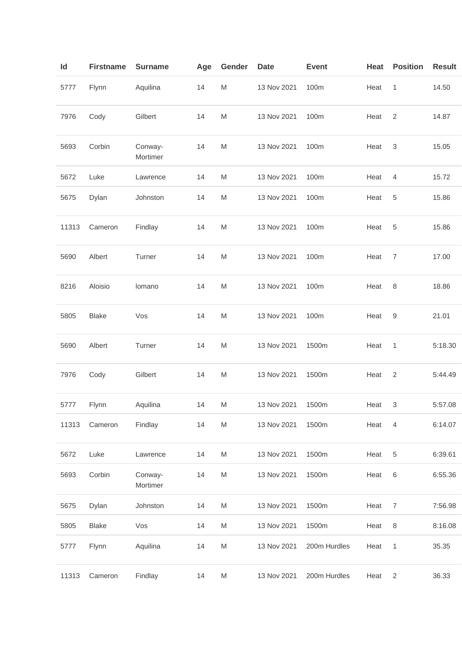| ld    | <b>Firstname</b> | <b>Surname</b>      | Age | Gender                                                                                                     | Date        | <b>Event</b> | Heat | <b>Position</b>           | <b>Result</b> |
|-------|------------------|---------------------|-----|------------------------------------------------------------------------------------------------------------|-------------|--------------|------|---------------------------|---------------|
| 5777  | Flynn            | Aquilina            | 14  | M                                                                                                          | 13 Nov 2021 | 100m         | Heat | $\mathbf{1}$              | 14.50         |
| 7976  | Cody             | Gilbert             | 14  | M                                                                                                          | 13 Nov 2021 | 100m         | Heat | $\overline{2}$            | 14.87         |
| 5693  | Corbin           | Conway-<br>Mortimer | 14  | M                                                                                                          | 13 Nov 2021 | 100m         | Heat | $\ensuremath{\mathsf{3}}$ | 15.05         |
| 5672  | Luke             | Lawrence            | 14  | M                                                                                                          | 13 Nov 2021 | 100m         | Heat | 4                         | 15.72         |
| 5675  | Dylan            | Johnston            | 14  | M                                                                                                          | 13 Nov 2021 | 100m         | Heat | 5                         | 15.86         |
| 11313 | Cameron          | Findlay             | 14  | M                                                                                                          | 13 Nov 2021 | 100m         | Heat | 5                         | 15.86         |
| 5690  | Albert           | Turner              | 14  | M                                                                                                          | 13 Nov 2021 | 100m         | Heat | $\overline{7}$            | 17.00         |
| 8216  | Aloisio          | lomano              | 14  | M                                                                                                          | 13 Nov 2021 | 100m         | Heat | 8                         | 18.86         |
| 5805  | <b>Blake</b>     | Vos                 | 14  | M                                                                                                          | 13 Nov 2021 | 100m         | Heat | 9                         | 21.01         |
| 5690  | Albert           | Turner              | 14  | M                                                                                                          | 13 Nov 2021 | 1500m        | Heat | 1                         | 5:18.30       |
| 7976  | Cody             | Gilbert             | 14  | M                                                                                                          | 13 Nov 2021 | 1500m        | Heat | $\sqrt{2}$                | 5:44.49       |
| 5777  | Flynn            | Aquilina            | 14  | M                                                                                                          | 13 Nov 2021 | 1500m        | Heat | 3                         | 5:57.08       |
| 11313 | Cameron          | Findlay             | 14  | $\mathsf{M}% _{T}=\mathsf{M}_{T}\!\left( a,b\right) ,\ \mathsf{M}_{T}=\mathsf{M}_{T}\!\left( a,b\right) ,$ | 13 Nov 2021 | 1500m        | Heat | $\overline{4}$            | 6:14.07       |
| 5672  | Luke             | Lawrence            | 14  | M                                                                                                          | 13 Nov 2021 | 1500m        | Heat | 5                         | 6:39.61       |
| 5693  | Corbin           | Conway-<br>Mortimer | 14  | M                                                                                                          | 13 Nov 2021 | 1500m        | Heat | 6                         | 6:55.36       |
| 5675  | Dylan            | Johnston            | 14  | $\mathsf{M}% _{T}=\mathsf{M}_{T}\!\left( a,b\right) ,\ \mathsf{M}_{T}=\mathsf{M}_{T}\!\left( a,b\right) ,$ | 13 Nov 2021 | 1500m        | Heat | $\overline{7}$            | 7:56.98       |
| 5805  | <b>Blake</b>     | Vos                 | 14  | $\mathsf{M}% _{T}=\mathsf{M}_{T}\!\left( a,b\right) ,\ \mathsf{M}_{T}=\mathsf{M}_{T}\!\left( a,b\right) ,$ | 13 Nov 2021 | 1500m        | Heat | 8                         | 8:16.08       |
| 5777  | Flynn            | Aquilina            | 14  | M                                                                                                          | 13 Nov 2021 | 200m Hurdles | Heat | 1                         | 35.35         |
| 11313 | Cameron          | Findlay             | 14  | M                                                                                                          | 13 Nov 2021 | 200m Hurdles | Heat | $\overline{2}$            | 36.33         |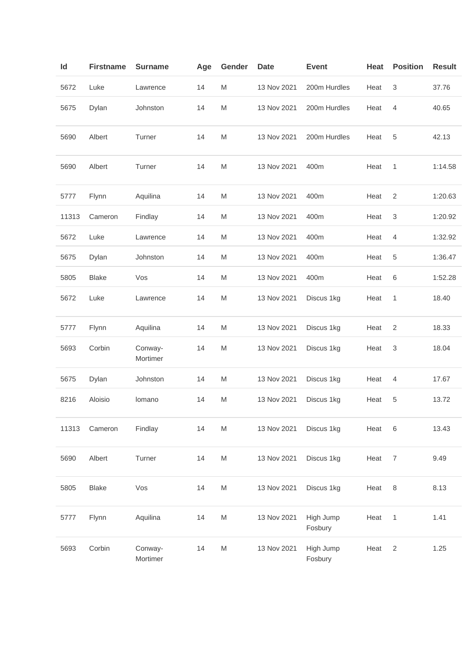| ld    | <b>Firstname</b> | <b>Surname</b>      | Age | Gender                                                                                                     | <b>Date</b> | <b>Event</b>         | Heat | <b>Position</b> | <b>Result</b> |
|-------|------------------|---------------------|-----|------------------------------------------------------------------------------------------------------------|-------------|----------------------|------|-----------------|---------------|
| 5672  | Luke             | Lawrence            | 14  | M                                                                                                          | 13 Nov 2021 | 200m Hurdles         | Heat | 3               | 37.76         |
| 5675  | Dylan            | Johnston            | 14  | M                                                                                                          | 13 Nov 2021 | 200m Hurdles         | Heat | $\overline{4}$  | 40.65         |
| 5690  | Albert           | Turner              | 14  | M                                                                                                          | 13 Nov 2021 | 200m Hurdles         | Heat | 5               | 42.13         |
| 5690  | Albert           | Turner              | 14  | M                                                                                                          | 13 Nov 2021 | 400m                 | Heat | 1               | 1:14.58       |
| 5777  | Flynn            | Aquilina            | 14  | M                                                                                                          | 13 Nov 2021 | 400m                 | Heat | 2               | 1:20.63       |
| 11313 | Cameron          | Findlay             | 14  | M                                                                                                          | 13 Nov 2021 | 400m                 | Heat | 3               | 1:20.92       |
| 5672  | Luke             | Lawrence            | 14  | M                                                                                                          | 13 Nov 2021 | 400m                 | Heat | 4               | 1:32.92       |
| 5675  | Dylan            | Johnston            | 14  | M                                                                                                          | 13 Nov 2021 | 400m                 | Heat | 5               | 1:36.47       |
| 5805  | <b>Blake</b>     | Vos                 | 14  | $\mathsf{M}% _{T}=\mathsf{M}_{T}\!\left( a,b\right) ,\ \mathsf{M}_{T}=\mathsf{M}_{T}\!\left( a,b\right) ,$ | 13 Nov 2021 | 400m                 | Heat | 6               | 1:52.28       |
| 5672  | Luke             | Lawrence            | 14  | M                                                                                                          | 13 Nov 2021 | Discus 1kg           | Heat | 1               | 18.40         |
| 5777  | Flynn            | Aquilina            | 14  | M                                                                                                          | 13 Nov 2021 | Discus 1kg           | Heat | 2               | 18.33         |
| 5693  | Corbin           | Conway-<br>Mortimer | 14  | M                                                                                                          | 13 Nov 2021 | Discus 1kg           | Heat | 3               | 18.04         |
| 5675  | Dylan            | Johnston            | 14  | M                                                                                                          | 13 Nov 2021 | Discus 1kg           | Heat | 4               | 17.67         |
| 8216  | Aloisio          | Iomano              | 14  | M                                                                                                          | 13 Nov 2021 | Discus 1kg           | Heat | 5               | 13.72         |
| 11313 | Cameron          | Findlay             | 14  | M                                                                                                          | 13 Nov 2021 | Discus 1kg           | Heat | $6\phantom{1}6$ | 13.43         |
| 5690  | Albert           | Turner              | 14  | M                                                                                                          | 13 Nov 2021 | Discus 1kg           | Heat | $\overline{7}$  | 9.49          |
| 5805  | <b>Blake</b>     | Vos                 | 14  | $\mathsf{M}% _{T}=\mathsf{M}_{T}\!\left( a,b\right) ,\ \mathsf{M}_{T}=\mathsf{M}_{T}\!\left( a,b\right) ,$ | 13 Nov 2021 | Discus 1kg           | Heat | $\,8\,$         | 8.13          |
| 5777  | Flynn            | Aquilina            | 14  | M                                                                                                          | 13 Nov 2021 | High Jump<br>Fosbury | Heat | 1               | 1.41          |
| 5693  | Corbin           | Conway-<br>Mortimer | 14  | M                                                                                                          | 13 Nov 2021 | High Jump<br>Fosbury | Heat | 2               | 1.25          |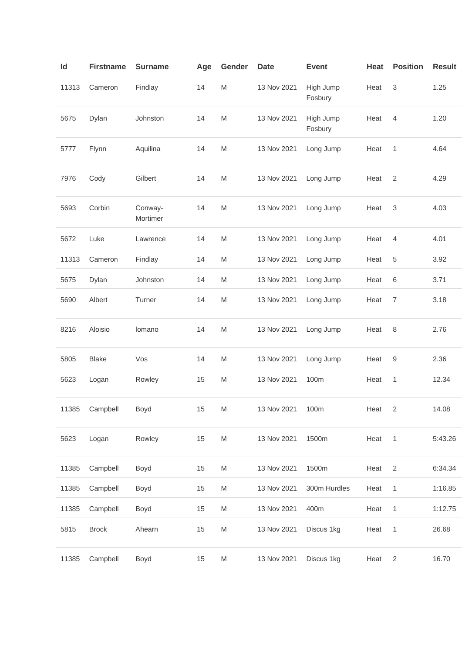| Id    | <b>Firstname</b> | <b>Surname</b>      | Age | Gender                                                                                                     | <b>Date</b>      | <b>Event</b>         | Heat | <b>Position</b> | <b>Result</b> |
|-------|------------------|---------------------|-----|------------------------------------------------------------------------------------------------------------|------------------|----------------------|------|-----------------|---------------|
| 11313 | Cameron          | Findlay             | 14  | $\mathsf{M}% _{T}=\mathsf{M}_{T}\!\left( a,b\right) ,\ \mathsf{M}_{T}=\mathsf{M}_{T}\!\left( a,b\right) ,$ | 13 Nov 2021      | High Jump<br>Fosbury | Heat | 3               | 1.25          |
| 5675  | Dylan            | Johnston            | 14  | $\mathsf{M}% _{T}=\mathsf{M}_{T}\!\left( a,b\right) ,\ \mathsf{M}_{T}=\mathsf{M}_{T}\!\left( a,b\right) ,$ | 13 Nov 2021      | High Jump<br>Fosbury | Heat | $\overline{4}$  | 1.20          |
| 5777  | Flynn            | Aquilina            | 14  | $\mathsf{M}% _{T}=\mathsf{M}_{T}\!\left( a,b\right) ,\ \mathsf{M}_{T}=\mathsf{M}_{T}\!\left( a,b\right) ,$ | 13 Nov 2021      | Long Jump            | Heat | 1               | 4.64          |
| 7976  | Cody             | Gilbert             | 14  | M                                                                                                          | 13 Nov 2021      | Long Jump            | Heat | $\sqrt{2}$      | 4.29          |
| 5693  | Corbin           | Conway-<br>Mortimer | 14  | M                                                                                                          | 13 Nov 2021      | Long Jump            | Heat | 3               | 4.03          |
| 5672  | Luke             | Lawrence            | 14  | M                                                                                                          | 13 Nov 2021      | Long Jump            | Heat | $\overline{4}$  | 4.01          |
| 11313 | Cameron          | Findlay             | 14  | M                                                                                                          | 13 Nov 2021      | Long Jump            | Heat | 5               | 3.92          |
| 5675  | Dylan            | Johnston            | 14  | M                                                                                                          | 13 Nov 2021      | Long Jump            | Heat | 6               | 3.71          |
| 5690  | Albert           | Turner              | 14  | M                                                                                                          | 13 Nov 2021      | Long Jump            | Heat | 7               | 3.18          |
| 8216  | Aloisio          | lomano              | 14  | M                                                                                                          | 13 Nov 2021      | Long Jump            | Heat | 8               | 2.76          |
| 5805  | <b>Blake</b>     | Vos                 | 14  | $\mathsf{M}% _{T}=\mathsf{M}_{T}\!\left( a,b\right) ,\ \mathsf{M}_{T}=\mathsf{M}_{T}\!\left( a,b\right) ,$ | 13 Nov 2021      | Long Jump            | Heat | 9               | 2.36          |
| 5623  | Logan            | Rowley              | 15  | M                                                                                                          | 13 Nov 2021      | 100m                 | Heat | 1               | 12.34         |
|       | 11385 Campbell   | Boyd                | 15  | M                                                                                                          | 13 Nov 2021 100m |                      | Heat | $\overline{2}$  | 14.08         |
| 5623  | Logan            | Rowley              | 15  | ${\sf M}$                                                                                                  | 13 Nov 2021      | 1500m                | Heat | $\mathbf{1}$    | 5:43.26       |
| 11385 | Campbell         | Boyd                | 15  | M                                                                                                          | 13 Nov 2021      | 1500m                | Heat | $\sqrt{2}$      | 6:34.34       |
| 11385 | Campbell         | Boyd                | 15  | ${\sf M}$                                                                                                  | 13 Nov 2021      | 300m Hurdles         | Heat | $\mathbf{1}$    | 1:16.85       |
| 11385 | Campbell         | Boyd                | 15  | ${\sf M}$                                                                                                  | 13 Nov 2021      | 400m                 | Heat | 1               | 1:12.75       |
| 5815  | <b>Brock</b>     | Ahearn              | 15  | $\mathsf{M}% _{T}=\mathsf{M}_{T}\!\left( a,b\right) ,\ \mathsf{M}_{T}=\mathsf{M}_{T}\!\left( a,b\right) ,$ | 13 Nov 2021      | Discus 1kg           | Heat | $\mathbf{1}$    | 26.68         |
| 11385 | Campbell         | Boyd                | 15  | $\mathsf{M}% _{T}=\mathsf{M}_{T}\!\left( a,b\right) ,\ \mathsf{M}_{T}=\mathsf{M}_{T}\!\left( a,b\right) ,$ | 13 Nov 2021      | Discus 1kg           | Heat | 2               | 16.70         |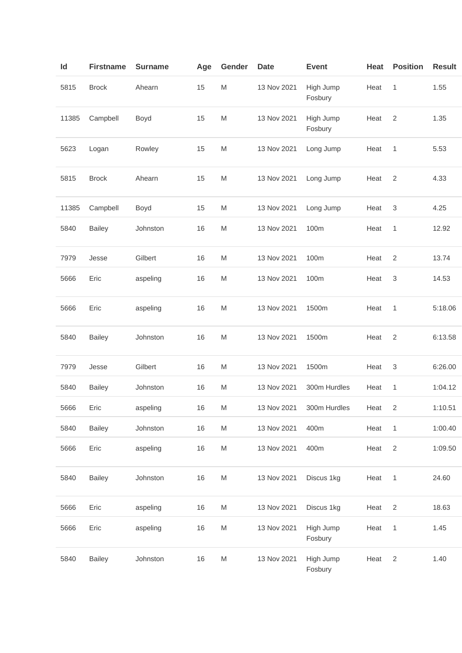| Id    | <b>Firstname</b> | <b>Surname</b> | Age | Gender                                                                                                     | <b>Date</b> | <b>Event</b>         | Heat | <b>Position</b>           | <b>Result</b> |
|-------|------------------|----------------|-----|------------------------------------------------------------------------------------------------------------|-------------|----------------------|------|---------------------------|---------------|
| 5815  | <b>Brock</b>     | Ahearn         | 15  | M                                                                                                          | 13 Nov 2021 | High Jump<br>Fosbury | Heat | $\mathbf{1}$              | 1.55          |
| 11385 | Campbell         | Boyd           | 15  | M                                                                                                          | 13 Nov 2021 | High Jump<br>Fosbury | Heat | $\overline{2}$            | 1.35          |
| 5623  | Logan            | Rowley         | 15  | M                                                                                                          | 13 Nov 2021 | Long Jump            | Heat | $\mathbf{1}$              | 5.53          |
| 5815  | <b>Brock</b>     | Ahearn         | 15  | M                                                                                                          | 13 Nov 2021 | Long Jump            | Heat | $\overline{2}$            | 4.33          |
| 11385 | Campbell         | Boyd           | 15  | M                                                                                                          | 13 Nov 2021 | Long Jump            | Heat | $\sqrt{3}$                | 4.25          |
| 5840  | <b>Bailey</b>    | Johnston       | 16  | M                                                                                                          | 13 Nov 2021 | 100m                 | Heat | $\mathbf{1}$              | 12.92         |
| 7979  | Jesse            | Gilbert        | 16  | M                                                                                                          | 13 Nov 2021 | 100m                 | Heat | 2                         | 13.74         |
| 5666  | Eric             | aspeling       | 16  | M                                                                                                          | 13 Nov 2021 | 100m                 | Heat | $\ensuremath{\mathsf{3}}$ | 14.53         |
| 5666  | Eric             | aspeling       | 16  | M                                                                                                          | 13 Nov 2021 | 1500m                | Heat | $\mathbf{1}$              | 5:18.06       |
| 5840  | <b>Bailey</b>    | Johnston       | 16  | M                                                                                                          | 13 Nov 2021 | 1500m                | Heat | $\overline{2}$            | 6:13.58       |
| 7979  | Jesse            | Gilbert        | 16  | M                                                                                                          | 13 Nov 2021 | 1500m                | Heat | $\ensuremath{\mathsf{3}}$ | 6:26.00       |
| 5840  | <b>Bailey</b>    | Johnston       | 16  | M                                                                                                          | 13 Nov 2021 | 300m Hurdles         | Heat | $\mathbf{1}$              | 1:04.12       |
| 5666  | Eric             | aspeling       | 16  | M                                                                                                          | 13 Nov 2021 | 300m Hurdles         | Heat | 2                         | 1:10.51       |
| 5840  | <b>Bailey</b>    | Johnston       | 16  | M                                                                                                          | 13 Nov 2021 | 400m                 | Heat | $\mathbf{1}$              | 1:00.40       |
| 5666  | Eric             | aspeling       | 16  | M                                                                                                          | 13 Nov 2021 | 400m                 | Heat | $\overline{2}$            | 1:09.50       |
| 5840  | <b>Bailey</b>    | Johnston       | 16  | $\mathsf{M}% _{T}=\mathsf{M}_{T}\!\left( a,b\right) ,\ \mathsf{M}_{T}=\mathsf{M}_{T}\!\left( a,b\right) ,$ | 13 Nov 2021 | Discus 1kg           | Heat | $\overline{1}$            | 24.60         |
| 5666  | Eric             | aspeling       | 16  | M                                                                                                          | 13 Nov 2021 | Discus 1kg           | Heat | $\overline{2}$            | 18.63         |
| 5666  | Eric             | aspeling       | 16  | M                                                                                                          | 13 Nov 2021 | High Jump<br>Fosbury | Heat | $\mathbf{1}$              | 1.45          |
| 5840  | <b>Bailey</b>    | Johnston       | 16  | M                                                                                                          | 13 Nov 2021 | High Jump<br>Fosbury | Heat | $\overline{2}$            | 1.40          |